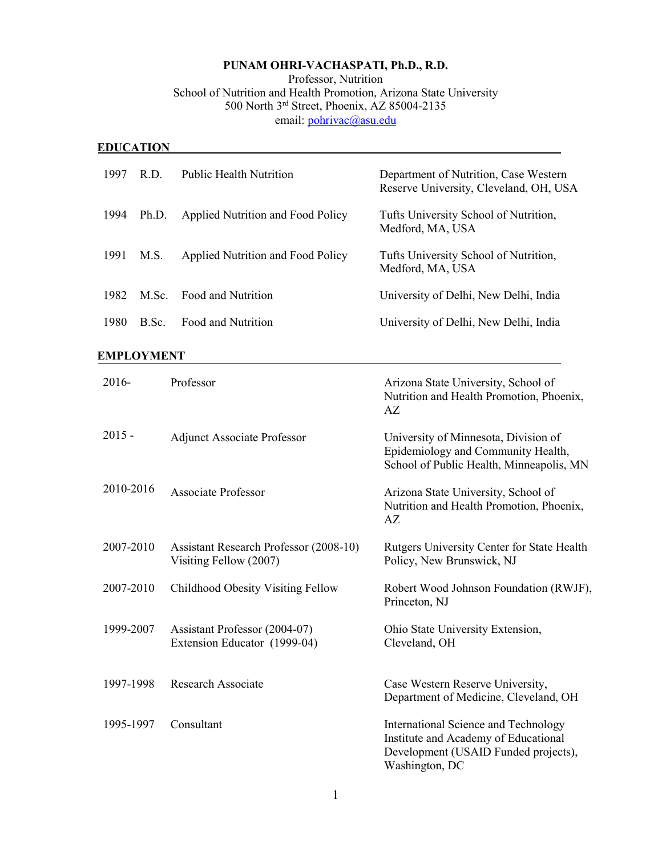## **PUNAM OHRI-VACHASPATI, Ph.D., R.D.**

Professor, Nutrition

# School of Nutrition and Health Promotion, Arizona State University 500 North 3rd Street, Phoenix, AZ 85004-2135

email: [pohrivac@asu.edu](mailto:pohrivac@asu.edu)

## **EDUCATION**

| 1997 | R.D.  | Public Health Nutrition           | Department of Nutrition, Case Western<br>Reserve University, Cleveland, OH, USA |
|------|-------|-----------------------------------|---------------------------------------------------------------------------------|
| 1994 | Ph.D. | Applied Nutrition and Food Policy | Tufts University School of Nutrition,<br>Medford, MA, USA                       |
| 1991 | M.S.  | Applied Nutrition and Food Policy | Tufts University School of Nutrition,<br>Medford, MA, USA                       |
|      |       | 1982 M.Sc. Food and Nutrition     | University of Delhi, New Delhi, India                                           |
| 1980 | B.Sc. | Food and Nutrition                | University of Delhi, New Delhi, India                                           |

## **EMPLOYMENT**

| 2016-     | Professor                                                               | Arizona State University, School of<br>Nutrition and Health Promotion, Phoenix,<br>AZ                                                  |
|-----------|-------------------------------------------------------------------------|----------------------------------------------------------------------------------------------------------------------------------------|
| $2015 -$  | <b>Adjunct Associate Professor</b>                                      | University of Minnesota, Division of<br>Epidemiology and Community Health,<br>School of Public Health, Minneapolis, MN                 |
| 2010-2016 | <b>Associate Professor</b>                                              | Arizona State University, School of<br>Nutrition and Health Promotion, Phoenix,<br>AZ                                                  |
| 2007-2010 | <b>Assistant Research Professor (2008-10)</b><br>Visiting Fellow (2007) | Rutgers University Center for State Health<br>Policy, New Brunswick, NJ                                                                |
| 2007-2010 | Childhood Obesity Visiting Fellow                                       | Robert Wood Johnson Foundation (RWJF),<br>Princeton, NJ                                                                                |
| 1999-2007 | Assistant Professor (2004-07)<br>Extension Educator (1999-04)           | Ohio State University Extension,<br>Cleveland, OH                                                                                      |
| 1997-1998 | <b>Research Associate</b>                                               | Case Western Reserve University,<br>Department of Medicine, Cleveland, OH                                                              |
| 1995-1997 | Consultant                                                              | International Science and Technology<br>Institute and Academy of Educational<br>Development (USAID Funded projects),<br>Washington, DC |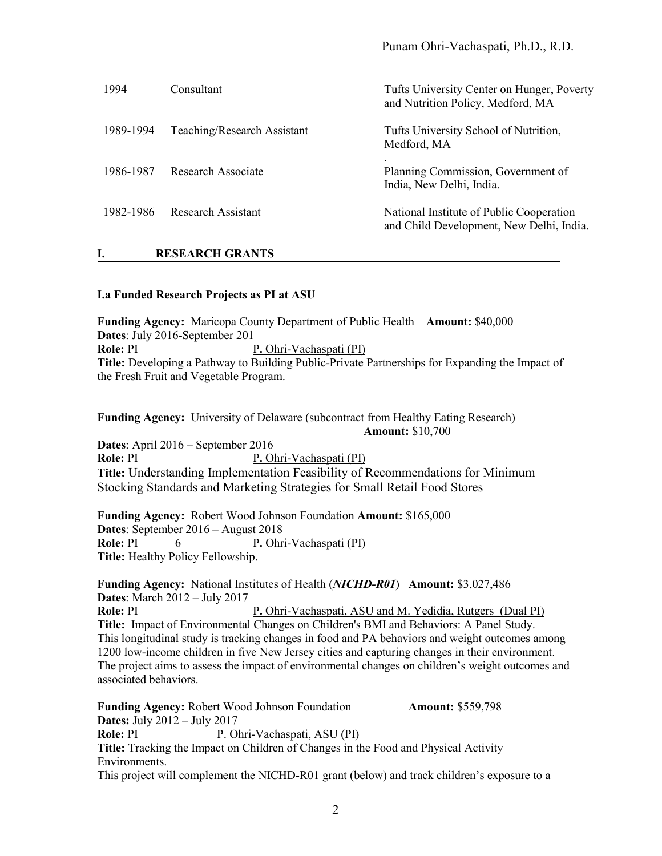| 1994      | Consultant                  | Tufts University Center on Hunger, Poverty<br>and Nutrition Policy, Medford, MA      |
|-----------|-----------------------------|--------------------------------------------------------------------------------------|
| 1989-1994 | Teaching/Research Assistant | Tufts University School of Nutrition,<br>Medford, MA                                 |
| 1986-1987 | Research Associate          | Planning Commission, Government of<br>India, New Delhi, India.                       |
| 1982-1986 | Research Assistant          | National Institute of Public Cooperation<br>and Child Development, New Delhi, India. |

**I. RESEARCH GRANTS**

#### **I.a Funded Research Projects as PI at ASU**

**Funding Agency:** Maricopa County Department of Public Health **Amount:** \$40,000 **Dates**: July 2016-September 201 **Role:** PI P. Ohri-Vachaspati (PI) **Title:** Developing a Pathway to Building Public-Private Partnerships for Expanding the Impact of the Fresh Fruit and Vegetable Program.

**Funding Agency:** University of Delaware (subcontract from Healthy Eating Research)  **Amount:** \$10,700

**Dates**: April 2016 – September 2016 **Role:** PI P. Ohri-Vachaspati (PI) **Title:** Understanding Implementation Feasibility of Recommendations for Minimum Stocking Standards and Marketing Strategies for Small Retail Food Stores

**Funding Agency:** Robert Wood Johnson Foundation **Amount:** \$165,000 **Dates**: September 2016 – August 2018 **Role:** PI 6 P. Ohri-Vachaspati (PI) **Title:** Healthy Policy Fellowship.

**Funding Agency:** National Institutes of Health (*NICHD-R01*) **Amount:** \$3,027,486 **Dates**: March 2012 – July 2017 **Role:** PI **P.** Ohri-Vachaspati, ASU and M. Yedidia, Rutgers (Dual PI) **Title:** Impact of Environmental Changes on Children's BMI and Behaviors: A Panel Study. This longitudinal study is tracking changes in food and PA behaviors and weight outcomes among 1200 low-income children in five New Jersey cities and capturing changes in their environment. The project aims to assess the impact of environmental changes on children's weight outcomes and associated behaviors.

**Funding Agency:** Robert Wood Johnson Foundation **Amount:** \$559,798 **Dates:** July 2012 – July 2017 **Role:** PI P. Ohri-Vachaspati, ASU (PI) **Title:** Tracking the Impact on Children of Changes in the Food and Physical Activity Environments. This project will complement the NICHD-R01 grant (below) and track children's exposure to a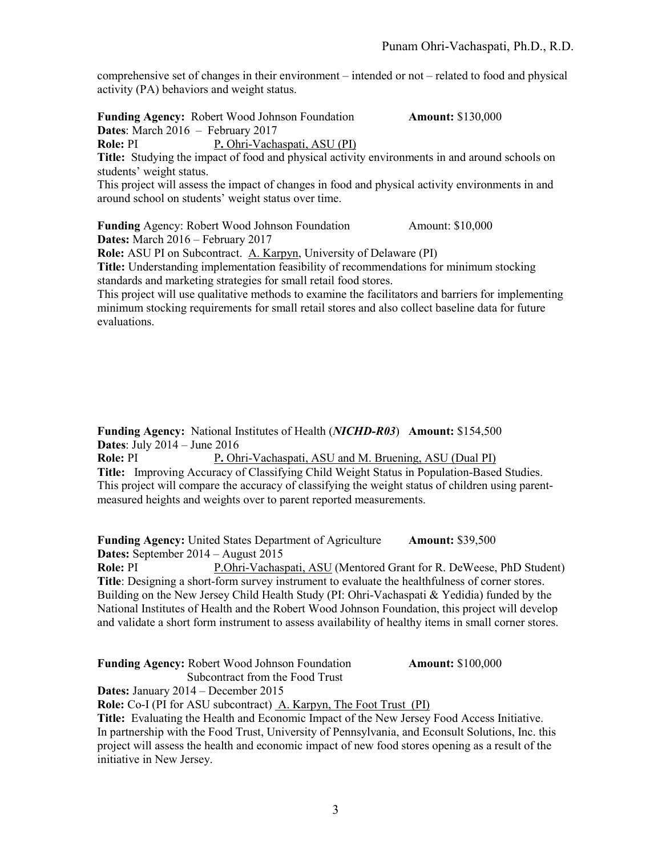comprehensive set of changes in their environment – intended or not – related to food and physical activity (PA) behaviors and weight status.

**Funding Agency:** Robert Wood Johnson Foundation **Amount:** \$130,000 **Dates**: March 2016 – February 2017 **Role:** PI P. Ohri-Vachaspati, ASU (PI)

**Title:** Studying the impact of food and physical activity environments in and around schools on students' weight status.

This project will assess the impact of changes in food and physical activity environments in and around school on students' weight status over time.

**Funding** Agency: Robert Wood Johnson Foundation Amount: \$10,000 **Dates:** March 2016 – February 2017

**Role:** ASU PI on Subcontract. A. Karpyn, University of Delaware (PI)

**Title:** Understanding implementation feasibility of recommendations for minimum stocking standards and marketing strategies for small retail food stores.

This project will use qualitative methods to examine the facilitators and barriers for implementing minimum stocking requirements for small retail stores and also collect baseline data for future evaluations.

**Funding Agency:** National Institutes of Health (*NICHD-R03*) **Amount:** \$154,500 **Dates**: July 2014 – June 2016

**Role:** PI P. Ohri-Vachaspati, ASU and M. Bruening, ASU (Dual PI) **Title:** Improving Accuracy of Classifying Child Weight Status in Population-Based Studies. This project will compare the accuracy of classifying the weight status of children using parentmeasured heights and weights over to parent reported measurements.

**Funding Agency:** United States Department of Agriculture **Amount:** \$39,500 **Dates:** September 2014 – August 2015

**Role:** PI P.Ohri-Vachaspati, ASU (Mentored Grant for R. DeWeese, PhD Student) **Title**: Designing a short-form survey instrument to evaluate the healthfulness of corner stores. Building on the New Jersey Child Health Study (PI: Ohri-Vachaspati & Yedidia) funded by the National Institutes of Health and the Robert Wood Johnson Foundation, this project will develop and validate a short form instrument to assess availability of healthy items in small corner stores.

**Funding Agency:** Robert Wood Johnson Foundation **Amount:** \$100,000

 Subcontract from the Food Trust **Dates:** January 2014 – December 2015

**Role:** Co-I (PI for ASU subcontract) A. Karpyn, The Foot Trust (PI)

**Title:** Evaluating the Health and Economic Impact of the New Jersey Food Access Initiative. In partnership with the Food Trust, University of Pennsylvania, and Econsult Solutions, Inc. this project will assess the health and economic impact of new food stores opening as a result of the initiative in New Jersey.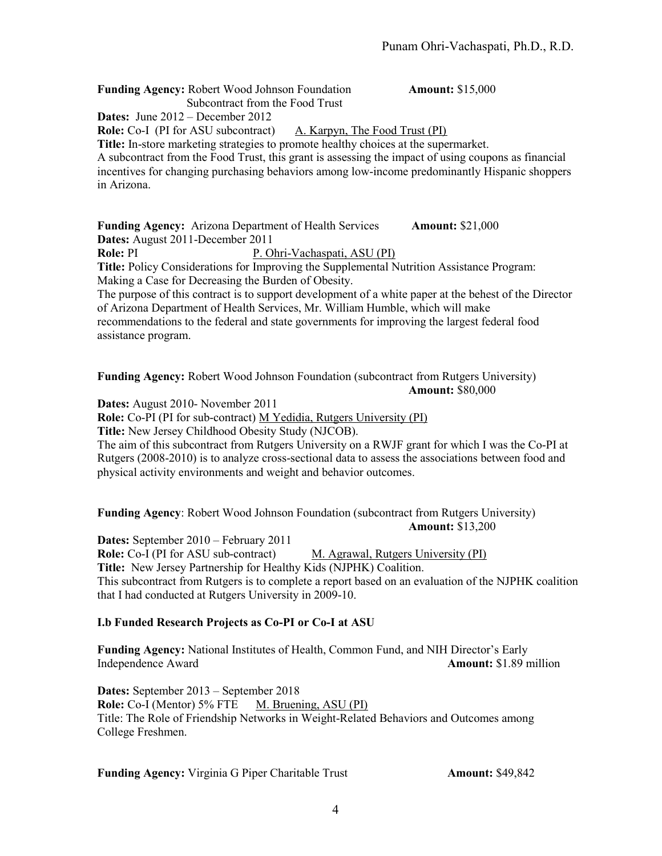**Funding Agency:** Robert Wood Johnson Foundation **Amount:** \$15,000 Subcontract from the Food Trust

**Dates:** June 2012 – December 2012

**Role:** Co-I (PI for ASU subcontract) A. Karpyn, The Food Trust (PI)

**Title:** In-store marketing strategies to promote healthy choices at the supermarket. A subcontract from the Food Trust, this grant is assessing the impact of using coupons as financial incentives for changing purchasing behaviors among low-income predominantly Hispanic shoppers in Arizona.

**Funding Agency:** Arizona Department of Health Services **Amount:** \$21,000 **Dates:** August 2011-December 2011 **Role:** PI P. Ohri-Vachaspati, ASU (PI) **Title:** Policy Considerations for Improving the Supplemental Nutrition Assistance Program: Making a Case for Decreasing the Burden of Obesity.

The purpose of this contract is to support development of a white paper at the behest of the Director of Arizona Department of Health Services, Mr. William Humble, which will make recommendations to the federal and state governments for improving the largest federal food assistance program.

**Funding Agency:** Robert Wood Johnson Foundation (subcontract from Rutgers University) **Amount:** \$80,000

**Dates:** August 2010- November 2011

**Role:** Co-PI (PI for sub-contract) M Yedidia, Rutgers University (PI)

**Title:** New Jersey Childhood Obesity Study (NJCOB).

The aim of this subcontract from Rutgers University on a RWJF grant for which I was the Co-PI at Rutgers (2008-2010) is to analyze cross-sectional data to assess the associations between food and physical activity environments and weight and behavior outcomes.

**Funding Agency**: Robert Wood Johnson Foundation (subcontract from Rutgers University) **Amount:** \$13,200

**Dates:** September 2010 – February 2011 **Role:** Co-I (PI for ASU sub-contract) M. Agrawal, Rutgers University (PI) **Title:** New Jersey Partnership for Healthy Kids (NJPHK) Coalition. This subcontract from Rutgers is to complete a report based on an evaluation of the NJPHK coalition that I had conducted at Rutgers University in 2009-10.

## **I.b Funded Research Projects as Co-PI or Co-I at ASU**

**Funding Agency:** National Institutes of Health, Common Fund, and NIH Director's Early Independence Award **Amount:** \$1.89 million

**Dates:** September 2013 – September 2018 **Role:** Co-I (Mentor) 5% FTE M. Bruening, ASU (PI) Title: The Role of Friendship Networks in Weight-Related Behaviors and Outcomes among College Freshmen.

**Funding Agency:** Virginia G Piper Charitable Trust **Amount:** \$49,842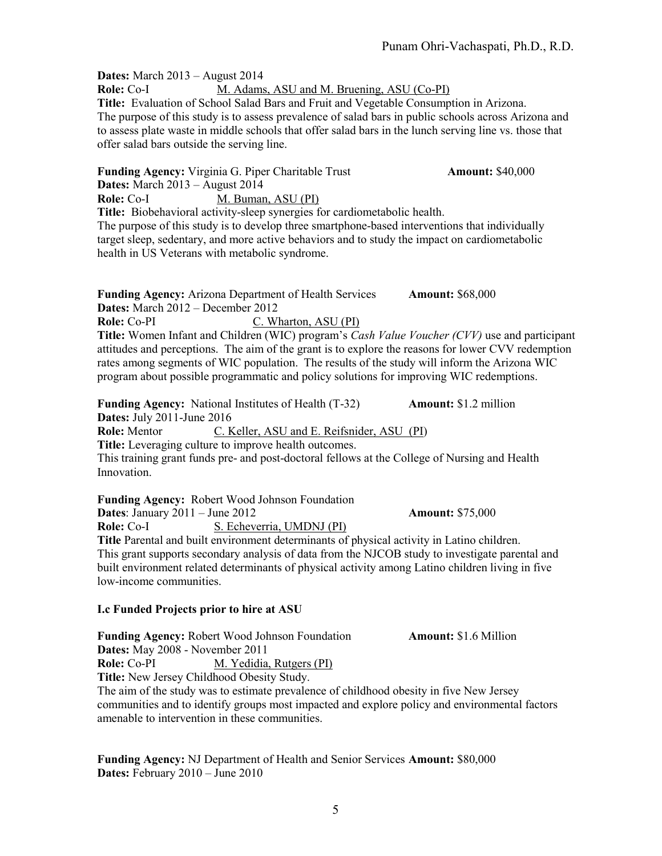**Dates:** March 2013 – August 2014 Role: Co-I M. Adams, ASU and M. Bruening, ASU (Co-PI) **Title:** Evaluation of School Salad Bars and Fruit and Vegetable Consumption in Arizona. The purpose of this study is to assess prevalence of salad bars in public schools across Arizona and to assess plate waste in middle schools that offer salad bars in the lunch serving line vs. those that offer salad bars outside the serving line.

**Funding Agency:** Virginia G. Piper Charitable Trust **Amount:** \$40,000 **Dates:** March 2013 – August 2014 **Role:** Co-I M. Buman, ASU (PI) **Title:** Biobehavioral activity-sleep synergies for cardiometabolic health. The purpose of this study is to develop three smartphone-based interventions that individually target sleep, sedentary, and more active behaviors and to study the impact on cardiometabolic health in US Veterans with metabolic syndrome. **Funding Agency:** Arizona Department of Health Services **Amount:** \$68,000 **Dates:** March 2012 – December 2012 **Role:** Co-PI C. Wharton, ASU (PI) **Title:** Women Infant and Children (WIC) program's *Cash Value Voucher (CVV)* use and participant attitudes and perceptions. The aim of the grant is to explore the reasons for lower CVV redemption rates among segments of WIC population. The results of the study will inform the Arizona WIC program about possible programmatic and policy solutions for improving WIC redemptions. **Funding Agency:** National Institutes of Health (T-32) **Amount:** \$1.2 million **Dates:** July 2011-June 2016 **Role:** Mentor C. Keller, ASU and E. Reifsnider, ASU (PI) **Title:** Leveraging culture to improve health outcomes. This training grant funds pre- and post-doctoral fellows at the College of Nursing and Health

Innovation.

low-income communities.

**Funding Agency:** Robert Wood Johnson Foundation **Dates**: January 2011 – June 2012 **Amount:** \$75,000 **Role:** Co-I S. Echeverria, UMDNJ (PI) **Title** Parental and built environment determinants of physical activity in Latino children. This grant supports secondary analysis of data from the NJCOB study to investigate parental and built environment related determinants of physical activity among Latino children living in five

## **I.c Funded Projects prior to hire at ASU**

**Funding Agency:** Robert Wood Johnson Foundation **Amount:** \$1.6 Million **Dates:** May 2008 - November 2011 **Role:** Co-PI M. Yedidia, Rutgers (PI) **Title:** New Jersey Childhood Obesity Study. The aim of the study was to estimate prevalence of childhood obesity in five New Jersey communities and to identify groups most impacted and explore policy and environmental factors amenable to intervention in these communities.

**Funding Agency:** NJ Department of Health and Senior Services **Amount:** \$80,000 **Dates:** February 2010 – June 2010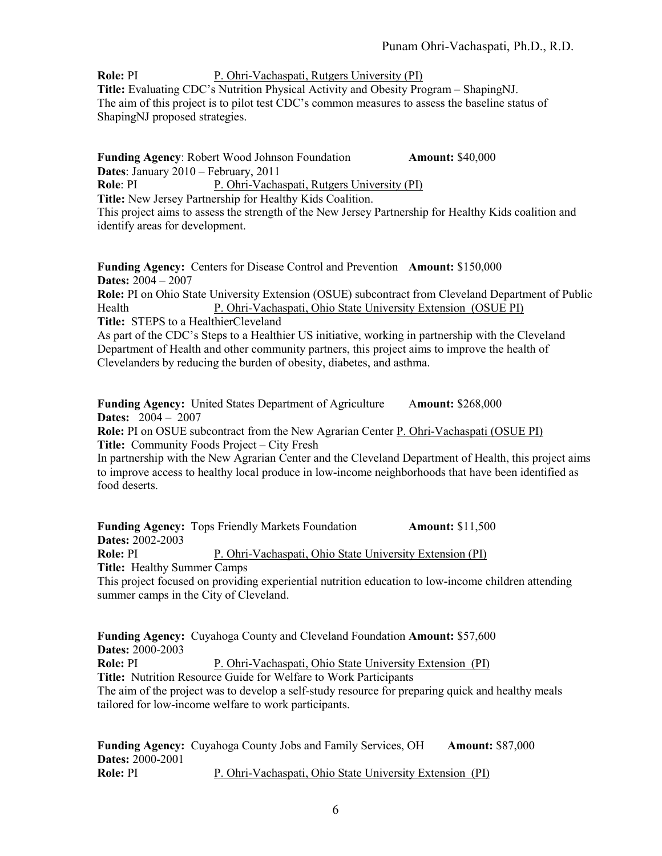**Role:** PI P. Ohri-Vachaspati, Rutgers University (PI) **Title:** Evaluating CDC's Nutrition Physical Activity and Obesity Program – ShapingNJ. The aim of this project is to pilot test CDC's common measures to assess the baseline status of ShapingNJ proposed strategies.

**Funding Agency**: Robert Wood Johnson Foundation **Amount:** \$40,000 **Dates**: January 2010 – February, 2011 **Role**: PI P. Ohri-Vachaspati, Rutgers University (PI) **Title:** New Jersey Partnership for Healthy Kids Coalition. This project aims to assess the strength of the New Jersey Partnership for Healthy Kids coalition and identify areas for development.

**Funding Agency:** Centers for Disease Control and Prevention **Amount:** \$150,000 **Dates:** 2004 – 2007

**Role:** PI on Ohio State University Extension (OSUE) subcontract from Cleveland Department of Public Health P. Ohri-Vachaspati, Ohio State University Extension (OSUE PI) **Title:** STEPS to a HealthierCleveland

As part of the CDC's Steps to a Healthier US initiative, working in partnership with the Cleveland Department of Health and other community partners, this project aims to improve the health of Clevelanders by reducing the burden of obesity, diabetes, and asthma.

**Funding Agency:** United States Department of Agriculture Amount: \$268,000 **Dates:** 2004 – 2007

**Role:** PI on OSUE subcontract from the New Agrarian Center P. Ohri-Vachaspati (OSUE PI) **Title:** Community Foods Project – City Fresh

In partnership with the New Agrarian Center and the Cleveland Department of Health, this project aims to improve access to healthy local produce in low-income neighborhoods that have been identified as food deserts.

**Funding Agency:** Tops Friendly Markets Foundation **Amount:** \$11,500 **Dates:** 2002-2003 **Role: PI** P. Ohri-Vachaspati, Ohio State University Extension (PI) **Title:** Healthy Summer Camps This project focused on providing experiential nutrition education to low-income children attending summer camps in the City of Cleveland.

**Funding Agency:** Cuyahoga County and Cleveland Foundation **Amount:** \$57,600 **Dates:** 2000-2003 **Role:** PI P. Ohri-Vachaspati, Ohio State University Extension (PI) **Title:** Nutrition Resource Guide for Welfare to Work Participants The aim of the project was to develop a self-study resource for preparing quick and healthy meals tailored for low-income welfare to work participants.

**Funding Agency:** Cuyahoga County Jobs and Family Services, OH **Amount:** \$87,000 **Dates:** 2000-2001 **Role:** PI P. Ohri-Vachaspati, Ohio State University Extension (PI)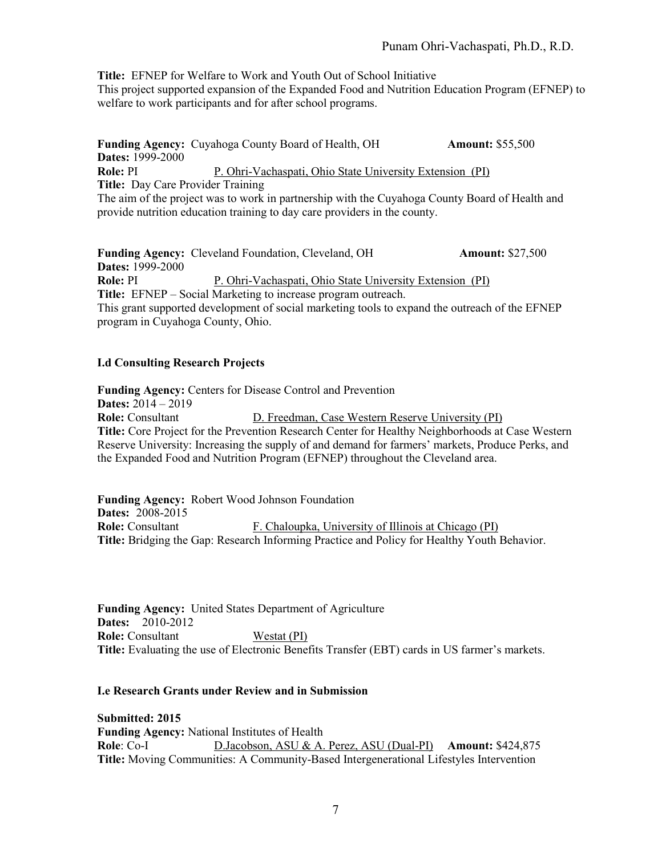**Title:** EFNEP for Welfare to Work and Youth Out of School Initiative

This project supported expansion of the Expanded Food and Nutrition Education Program (EFNEP) to welfare to work participants and for after school programs.

**Funding Agency:** Cuyahoga County Board of Health, OH **Amount:** \$55,500 **Dates:** 1999-2000 **Role: PI** P. Ohri-Vachaspati, Ohio State University Extension (PI) **Title:** Day Care Provider Training The aim of the project was to work in partnership with the Cuyahoga County Board of Health and provide nutrition education training to day care providers in the county.

**Funding Agency:** Cleveland Foundation, Cleveland, OH **Amount:** \$27,500 **Dates:** 1999-2000 **Role:** PI P. Ohri-Vachaspati, Ohio State University Extension (PI) **Title:** EFNEP – Social Marketing to increase program outreach. This grant supported development of social marketing tools to expand the outreach of the EFNEP program in Cuyahoga County, Ohio.

## **I.d Consulting Research Projects**

**Funding Agency:** Centers for Disease Control and Prevention **Dates:** 2014 – 2019 **Role:** Consultant **D. Freedman, Case Western Reserve University (PI) Title:** Core Project for the Prevention Research Center for Healthy Neighborhoods at Case Western Reserve University: Increasing the supply of and demand for farmers' markets, Produce Perks, and the Expanded Food and Nutrition Program (EFNEP) throughout the Cleveland area.

**Funding Agency:** Robert Wood Johnson Foundation **Dates:** 2008-2015 **Role:** Consultant F. Chaloupka, University of Illinois at Chicago (PI) **Title:** Bridging the Gap: Research Informing Practice and Policy for Healthy Youth Behavior.

**Funding Agency:** United States Department of Agriculture **Dates:** 2010-2012 **Role:** Consultant Westat (PI) **Title:** Evaluating the use of Electronic Benefits Transfer (EBT) cards in US farmer's markets.

#### **I.e Research Grants under Review and in Submission**

**Submitted: 2015 Funding Agency:** National Institutes of Health **Role**: Co-I D.Jacobson, ASU & A. Perez, ASU (Dual-PI) **Amount:** \$424,875 **Title:** Moving Communities: A Community-Based Intergenerational Lifestyles Intervention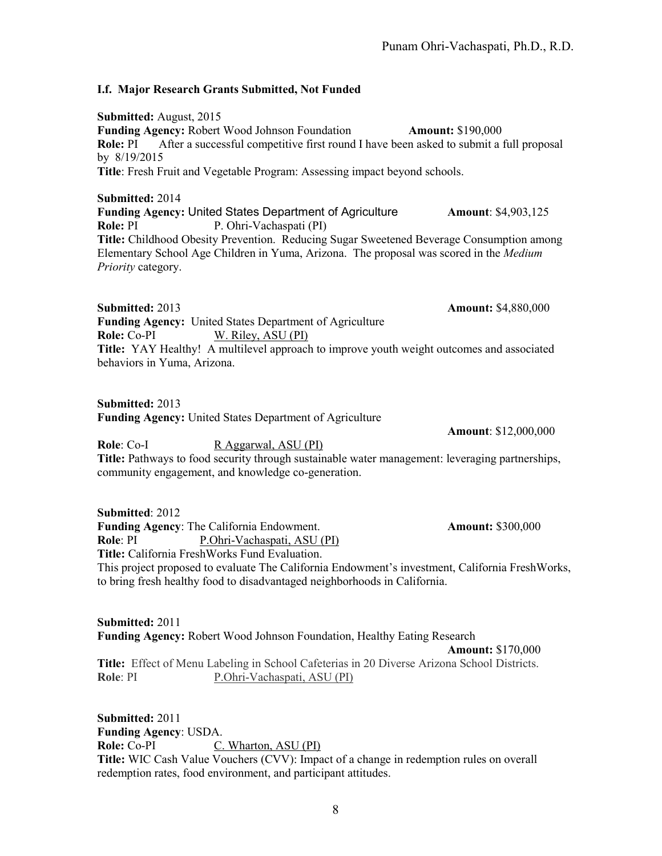## **I.f. Major Research Grants Submitted, Not Funded**

**Submitted:** August, 2015 **Funding Agency:** Robert Wood Johnson Foundation **Amount:** \$190,000 **Role:** PI After a successful competitive first round I have been asked to submit a full proposal by 8/19/2015 **Title**: Fresh Fruit and Vegetable Program: Assessing impact beyond schools.

**Submitted:** 2014 **Funding Agency:** United States Department of Agriculture **Amount**: \$4,903,125 **Role:** PI P. Ohri-Vachaspati (PI) **Title:** Childhood Obesity Prevention. Reducing Sugar Sweetened Beverage Consumption among Elementary School Age Children in Yuma, Arizona. The proposal was scored in the *Medium Priority* category.

**Submitted:** 2013 **Amount:** \$4,880,000 **Funding Agency:** United States Department of Agriculture **Role:** Co-PI W. Riley, ASU (PI) **Title:** YAY Healthy! A multilevel approach to improve youth weight outcomes and associated behaviors in Yuma, Arizona.

**Submitted:** 2013 **Funding Agency:** United States Department of Agriculture

**Role**: Co-I R Aggarwal, ASU (PI) **Title:** Pathways to food security through sustainable water management: leveraging partnerships, community engagement, and knowledge co-generation.

**Submitted**: 2012 **Funding Agency:** The California Endowment. **Amount:** \$300,000 **Role**: PI P.Ohri-Vachaspati, ASU (PI) **Title:** California FreshWorks Fund Evaluation. This project proposed to evaluate The California Endowment's investment, California FreshWorks, to bring fresh healthy food to disadvantaged neighborhoods in California.

**Submitted:** 2011 **Funding Agency:** Robert Wood Johnson Foundation, Healthy Eating Research **Amount:** \$170,000 **Title:** Effect of Menu Labeling in School Cafeterias in 20 Diverse Arizona School Districts. **Role**: PI P.Ohri-Vachaspati, ASU (PI)

**Submitted:** 2011 **Funding Agency**: USDA. **Role:** Co-PI C. Wharton, ASU (PI) **Title:** WIC Cash Value Vouchers (CVV): Impact of a change in redemption rules on overall redemption rates, food environment, and participant attitudes.

**Amount**: \$12,000,000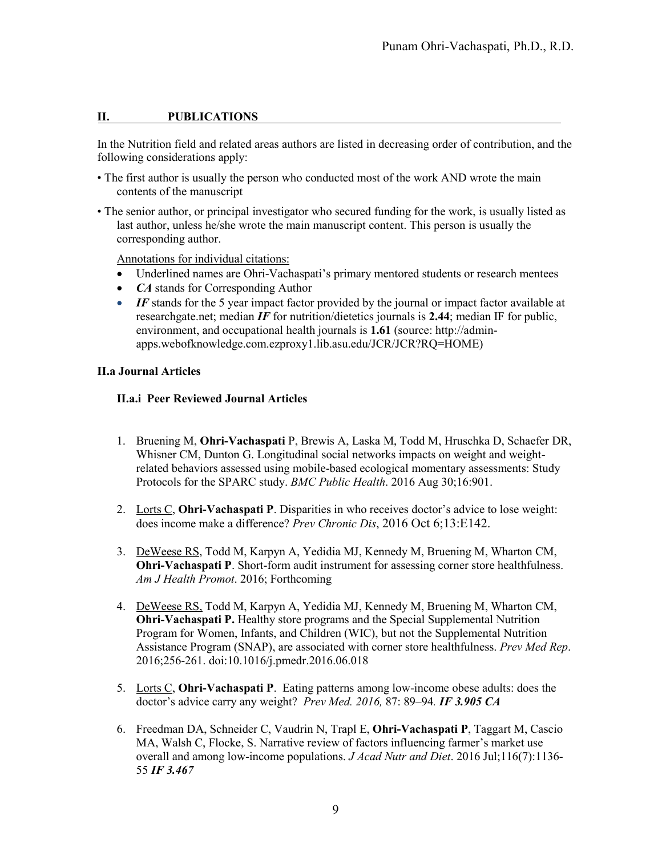## **II. PUBLICATIONS**

In the Nutrition field and related areas authors are listed in decreasing order of contribution, and the following considerations apply:

- The first author is usually the person who conducted most of the work AND wrote the main contents of the manuscript
- The senior author, or principal investigator who secured funding for the work, is usually listed as last author, unless he/she wrote the main manuscript content. This person is usually the corresponding author.

Annotations for individual citations:

- Underlined names are Ohri-Vachaspati's primary mentored students or research mentees
- *CA* stands for Corresponding Author
- *IF* stands for the 5 year impact factor provided by the journal or impact factor available at researchgate.net; median *IF* for nutrition/dietetics journals is **2.44**; median IF for public, environment, and occupational health journals is **1.61** (source: http://adminapps.webofknowledge.com.ezproxy1.lib.asu.edu/JCR/JCR?RQ=HOME)

#### **II.a Journal Articles**

#### **II.a.i Peer Reviewed Journal Articles**

- 1. Bruening M, **Ohri-Vachaspati** P, Brewis A, Laska M, Todd M, Hruschka D, Schaefer DR, Whisner CM, Dunton G. [Longitudinal social networks impacts on weight and weight](http://www.ncbi.nlm.nih.gov/pubmed/27576358)[related behaviors assessed using mobile-based ecological momentary assessments: Study](http://www.ncbi.nlm.nih.gov/pubmed/27576358)  [Protocols for the SPARC study.](http://www.ncbi.nlm.nih.gov/pubmed/27576358) *BMC Public Health*. 2016 Aug 30;16:901.
- 2. Lorts C, **Ohri-Vachaspati P**. Disparities in who receives doctor's advice to lose weight: does income make a difference? *Prev Chronic Dis*, 2016 Oct 6;13:E142.
- 3. DeWeese RS, Todd M, Karpyn A, Yedidia MJ, Kennedy M, Bruening M, Wharton CM, **Ohri-Vachaspati P**. Short-form audit instrument for assessing corner store healthfulness. *Am J Health Promot*. 2016; Forthcoming
- 4. DeWeese RS, Todd M, Karpyn A, Yedidia MJ, Kennedy M, Bruening M, Wharton CM, **Ohri-Vachaspati P.** Healthy store programs and the Special Supplemental Nutrition Program for Women, Infants, and Children (WIC), but not the Supplemental Nutrition Assistance Program (SNAP), are associated with corner store healthfulness. *Prev Med Rep*. 2016;256-261. doi:10.1016/j.pmedr.2016.06.018
- 5. Lorts C, **Ohri-Vachaspati P**. Eating patterns among low-income obese adults: does the doctor's advice carry any weight? *Prev Med. 2016,* 87: 89–94*. IF 3.905 CA*
- 6. Freedman DA, Schneider C, Vaudrin N, Trapl E, **Ohri-Vachaspati P**, Taggart M, Cascio MA, Walsh C, Flocke, S. Narrative review of factors influencing farmer's market use overall and among low-income populations. *J Acad Nutr and Diet*. 2016 Jul;116(7):1136- 55 *IF 3.467*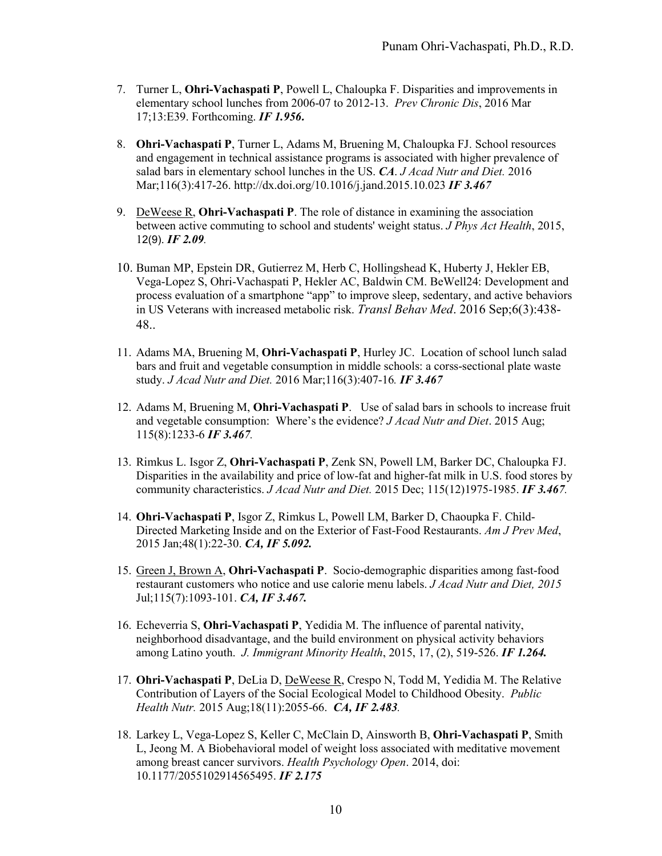- 7. Turner L, **Ohri-Vachaspati P**, Powell L, Chaloupka F. Disparities and improvements in elementary school lunches from 2006-07 to 2012-13. *Prev Chronic Dis*, 2016 Mar 17;13:E39. Forthcoming. *IF 1.956.*
- 8. **Ohri-Vachaspati P**, Turner L, Adams M, Bruening M, Chaloupka FJ. School resources and engagement in technical assistance programs is associated with higher prevalence of salad bars in elementary school lunches in the US. *CA*. *J Acad Nutr and Diet.* 2016 Mar;116(3):417-26. <http://dx.doi.org/10.1016/j.jand.2015.10.023> *IF 3.467*
- 9. DeWeese R, **Ohri-Vachaspati P**. The role of distance in examining the association between active commuting to school and students' weight status. *J Phys Act Health*, 2015, 12(9). *IF 2.09.*
- 10. Buman MP, Epstein DR, Gutierrez M, Herb C, Hollingshead K, Huberty J, Hekler EB, Vega-Lopez S, Ohri-Vachaspati P, Hekler AC, Baldwin CM. BeWell24: Development and process evaluation of a smartphone "app" to improve sleep, sedentary, and active behaviors in US Veterans with increased metabolic risk. *Transl Behav Med*. 2016 Sep;6(3):438- 48..
- 11. Adams MA, Bruening M, **Ohri-Vachaspati P**, Hurley JC. Location of school lunch salad bars and fruit and vegetable consumption in middle schools: a corss-sectional plate waste study. *J Acad Nutr and Diet.* 2016 Mar;116(3):407-16*. IF 3.467*
- 12. Adams M, Bruening M, **Ohri-Vachaspati P**. Use of salad bars in schools to increase fruit and vegetable consumption: Where's the evidence? *J Acad Nutr and Diet*. 2015 Aug; 115(8):1233-6 *IF 3.467.*
- 13. Rimkus L. Isgor Z, **Ohri-Vachaspati P**, Zenk SN, Powell LM, Barker DC, Chaloupka FJ. Disparities in the availability and price of low-fat and higher-fat milk in U.S. food stores by community characteristics. *J Acad Nutr and Diet.* 2015 Dec; 115(12)1975-1985. *IF 3.467.*
- 14. **Ohri-Vachaspati P**, Isgor Z, Rimkus L, Powell LM, Barker D, Chaoupka F. Child-Directed Marketing Inside and on the Exterior of Fast-Food Restaurants. *Am J Prev Med*, 2015 Jan;48(1):22-30. *CA, IF 5.092.*
- 15. Green J, Brown A, **Ohri-Vachaspati P**. Socio-demographic disparities among fast-food restaurant customers who notice and use calorie menu labels. *J Acad Nutr and Diet, 2015*  Jul;115(7):1093-101. *CA, IF 3.467.*
- 16. Echeverria S, **Ohri-Vachaspati P**, Yedidia M. The influence of parental nativity, neighborhood disadvantage, and the build environment on physical activity behaviors among Latino youth. *J. Immigrant Minority Health*, 2015, 17, (2), 519-526. *IF 1.264.*
- 17. **Ohri-Vachaspati P**, DeLia D, DeWeese R, Crespo N, Todd M, Yedidia M. The Relative Contribution of Layers of the Social Ecological Model to Childhood Obesity. *Public Health Nutr.* 2015 Aug;18(11):2055-66. *CA, IF 2.483.*
- 18. Larkey L, Vega-Lopez S, Keller C, McClain D, Ainsworth B, **Ohri-Vachaspati P**, Smith L, Jeong M. A Biobehavioral model of weight loss associated with meditative movement among breast cancer survivors. *Health Psychology Open*. 2014, doi: 10.1177/2055102914565495. *IF 2.175*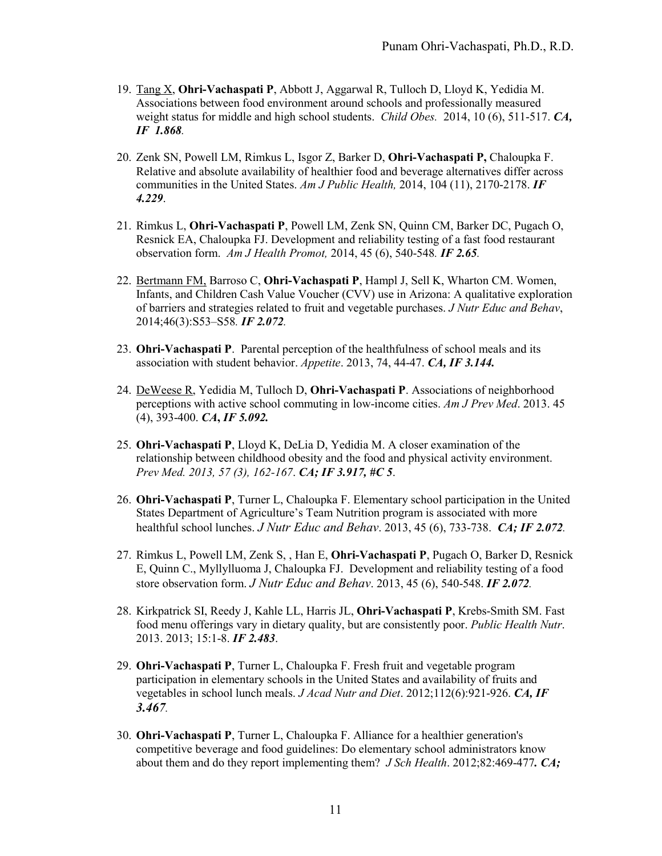- 19. Tang X, **Ohri-Vachaspati P**, Abbott J, Aggarwal R, Tulloch D, Lloyd K, Yedidia M. Associations between food environment around schools and professionally measured weight status for middle and high school students. *Child Obes.* 2014, 10 (6), 511-517. *CA, IF 1.868.*
- 20. Zenk SN, Powell LM, Rimkus L, Isgor Z, Barker D, **Ohri-Vachaspati P,** Chaloupka F. Relative and absolute availability of healthier food and beverage alternatives differ across communities in the United States. *Am J Public Health,* 2014, 104 (11), 2170-2178. *IF 4.229*.
- 21. Rimkus L, **Ohri-Vachaspati P**, Powell LM, Zenk SN, Quinn CM, Barker DC, Pugach O, Resnick EA, Chaloupka FJ. Development and reliability testing of a fast food restaurant observation form. *Am J Health Promot,* 2014, 45 (6), 540-548*. IF 2.65.*
- 22. Bertmann FM, Barroso C, **Ohri-Vachaspati P**, Hampl J, Sell K, Wharton CM. Women, Infants, and Children Cash Value Voucher (CVV) use in Arizona: A qualitative exploration of barriers and strategies related to fruit and vegetable purchases. *J Nutr Educ and Behav*, 2014;46(3):S53–S58*. IF 2.072.*
- 23. **Ohri-Vachaspati P**. Parental perception of the healthfulness of school meals and its association with student behavior. *Appetite*. 2013, 74, 44-47. *CA, IF 3.144.*
- 24. DeWeese R, Yedidia M, Tulloch D, **Ohri-Vachaspati P**. Associations of neighborhood perceptions with active school commuting in low-income cities. *Am J Prev Med*. 2013. 45 (4), 393-400. *CA***,** *IF 5.092.*
- 25. **Ohri-Vachaspati P**, Lloyd K, DeLia D, Yedidia M. A closer examination of the relationship between childhood obesity and the food and physical activity environment. *Prev Med. 2013, 57 (3), 162-167*. *CA; IF 3.917, #C 5*.
- 26. **Ohri-Vachaspati P**, Turner L, Chaloupka F. Elementary school participation in the United States Department of Agriculture's Team Nutrition program is associated with more healthful school lunches. *J Nutr Educ and Behav*. 2013, 45 (6), 733-738. *CA; IF 2.072.*
- 27. Rimkus L, Powell LM, Zenk S, , Han E, **Ohri-Vachaspati P**, Pugach O, Barker D, Resnick E, Quinn C., Myllylluoma J, Chaloupka FJ. Development and reliability testing of a food store observation form. *J Nutr Educ and Behav*. 2013, 45 (6), 540-548. *IF 2.072.*
- 28. Kirkpatrick SI, Reedy J, Kahle LL, Harris JL, **Ohri-Vachaspati P**, Krebs-Smith SM. Fast food menu offerings vary in dietary quality, but are consistently poor. *Public Health Nutr*. 2013. 2013; 15:1-8. *IF 2.483*.
- 29. **Ohri-Vachaspati P**, Turner L, Chaloupka F. Fresh fruit and vegetable program participation in elementary schools in the United States and availability of fruits and vegetables in school lunch meals. *J Acad Nutr and Diet*. 2012;112(6):921-926. *CA, IF 3.467.*
- 30. **Ohri-Vachaspati P**, Turner L, Chaloupka F. Alliance for a healthier generation's competitive beverage and food guidelines: Do elementary school administrators know about them and do they report implementing them? *J Sch Health*. 2012;82:469-477*. CA;*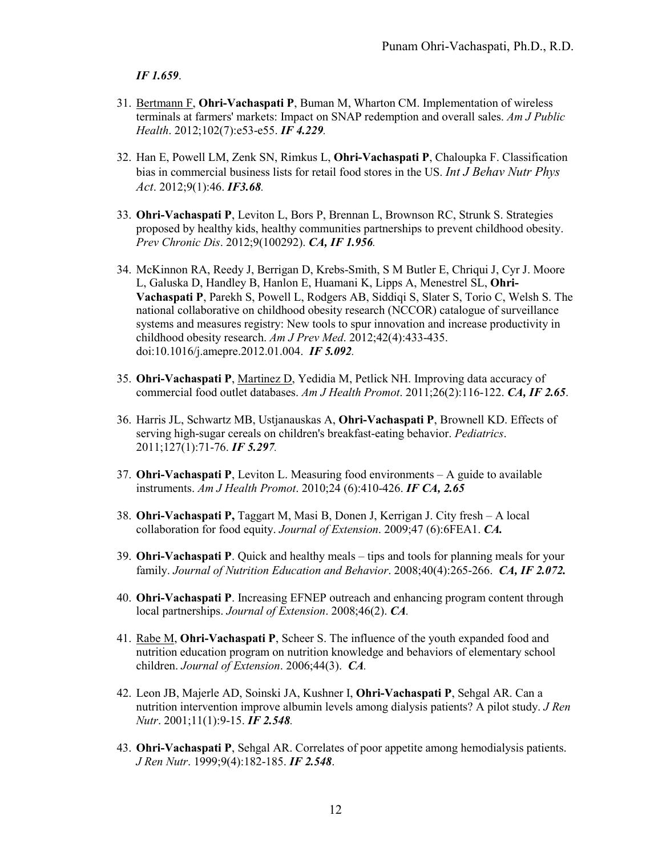*IF 1.659*.

- 31. Bertmann F, **Ohri-Vachaspati P**, Buman M, Wharton CM. Implementation of wireless terminals at farmers' markets: Impact on SNAP redemption and overall sales. *Am J Public Health*. 2012;102(7):e53-e55. *IF 4.229.*
- 32. Han E, Powell LM, Zenk SN, Rimkus L, **Ohri-Vachaspati P**, Chaloupka F. Classification bias in commercial business lists for retail food stores in the US. *Int J Behav Nutr Phys Act*. 2012;9(1):46. *IF3.68.*
- 33. **Ohri-Vachaspati P**, Leviton L, Bors P, Brennan L, Brownson RC, Strunk S. Strategies proposed by healthy kids, healthy communities partnerships to prevent childhood obesity. *Prev Chronic Dis*. 2012;9(100292). *CA, IF 1.956.*
- 34. McKinnon RA, Reedy J, Berrigan D, Krebs-Smith, S M [Butler E,](http://www.ncbi.nlm.nih.gov/pubmed?term=Butler%20E) [Chriqui J,](http://www.ncbi.nlm.nih.gov/pubmed?term=Chriqui%20J) [Cyr J.](http://www.ncbi.nlm.nih.gov/pubmed?term=Cyr%20J) [Moore](http://www.ncbi.nlm.nih.gov/pubmed?term=Moore%20L)  [L,](http://www.ncbi.nlm.nih.gov/pubmed?term=Moore%20L) [Galuska D,](http://www.ncbi.nlm.nih.gov/pubmed?term=Galuska%20D) [Handley B,](http://www.ncbi.nlm.nih.gov/pubmed?term=Handley%20B) [Hanlon E,](http://www.ncbi.nlm.nih.gov/pubmed?term=Hanlon%20E) [Huamani K,](http://www.ncbi.nlm.nih.gov/pubmed?term=Huamani%20K) [Lipps A,](http://www.ncbi.nlm.nih.gov/pubmed?term=Lipps%20A) [Menestrel SL,](http://www.ncbi.nlm.nih.gov/pubmed?term=Menestrel%20SL) **[Ohri-](http://www.ncbi.nlm.nih.gov/pubmed?term=Ohri-Vachaspati%20P)[Vachaspati P](http://www.ncbi.nlm.nih.gov/pubmed?term=Ohri-Vachaspati%20P)**, [Parekh S,](http://www.ncbi.nlm.nih.gov/pubmed?term=Parekh%20S) [Powell L,](http://www.ncbi.nlm.nih.gov/pubmed?term=Powell%20L) [Rodgers AB,](http://www.ncbi.nlm.nih.gov/pubmed?term=Rodgers%20AB) [Siddiqi S,](http://www.ncbi.nlm.nih.gov/pubmed?term=Siddiqi%20S) [Slater S,](http://www.ncbi.nlm.nih.gov/pubmed?term=Slater%20S) [Torio C,](http://www.ncbi.nlm.nih.gov/pubmed?term=Torio%20C) [Welsh S.](http://www.ncbi.nlm.nih.gov/pubmed?term=Welsh%20S) The national collaborative on childhood obesity research (NCCOR) catalogue of surveillance systems and measures registry: New tools to spur innovation and increase productivity in childhood obesity research. *Am J Prev Med*. 2012;42(4):433-435. doi:10.1016/j.amepre.2012.01.004. *IF 5.092.*
- 35. **Ohri-Vachaspati P**, Martinez D, Yedidia M, Petlick NH. Improving data accuracy of commercial food outlet databases. *Am J Health Promot*. 2011;26(2):116-122. *CA, IF 2.65*.
- 36. Harris JL, Schwartz MB, Ustjanauskas A, **Ohri-Vachaspati P**, Brownell KD. Effects of serving high-sugar cereals on children's breakfast-eating behavior. *Pediatrics*. 2011;127(1):71-76. *IF 5.297.*
- 37. **Ohri-Vachaspati P**, Leviton L. Measuring food environments A guide to available instruments. *Am J Health Promot*. 2010;24 (6):410-426. *IF CA, 2.65*
- 38. **Ohri-Vachaspati P,** Taggart M, Masi B, Donen J, Kerrigan J. City fresh A local collaboration for food equity. *Journal of Extension*. 2009;47 (6):6FEA1. *CA.*
- 39. **Ohri-Vachaspati P**. Quick and healthy meals tips and tools for planning meals for your family. *Journal of Nutrition Education and Behavior*. 2008;40(4):265-266. *CA, IF 2.072.*
- 40. **Ohri-Vachaspati P**. Increasing EFNEP outreach and enhancing program content through local partnerships. *Journal of Extension*. 2008;46(2). *CA.*
- 41. Rabe M, **Ohri-Vachaspati P**, Scheer S. The influence of the youth expanded food and nutrition education program on nutrition knowledge and behaviors of elementary school children. *Journal of Extension*. 2006;44(3). *CA.*
- 42. Leon JB, Majerle AD, Soinski JA, Kushner I, **Ohri-Vachaspati P**, Sehgal AR. Can a nutrition intervention improve albumin levels among dialysis patients? A pilot study. *J Ren Nutr*. 2001;11(1):9-15. *IF 2.548.*
- 43. **Ohri-Vachaspati P**, Sehgal AR. Correlates of poor appetite among hemodialysis patients. *J Ren Nutr*. 1999;9(4):182-185. *IF 2.548*.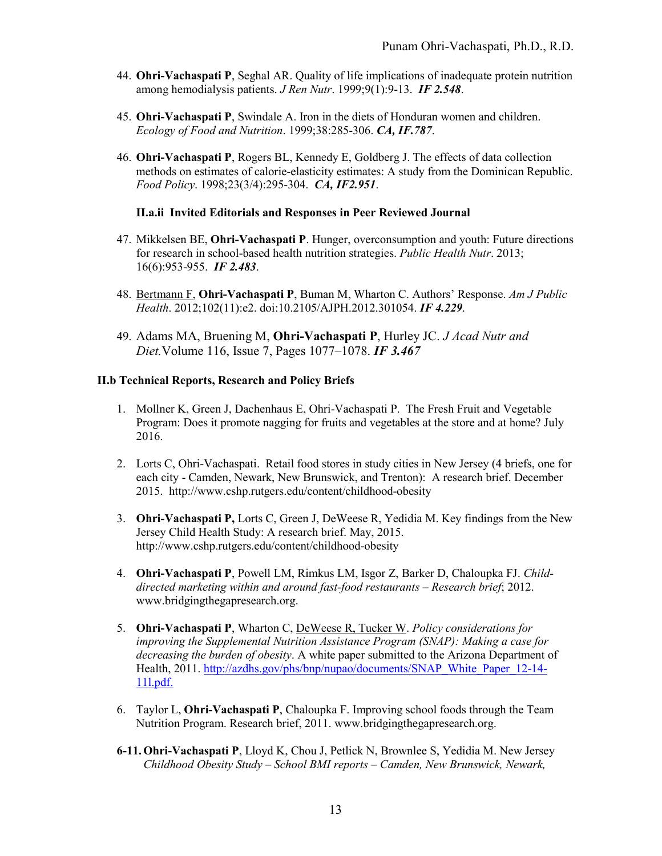- 44. **Ohri-Vachaspati P**, Seghal AR. Quality of life implications of inadequate protein nutrition among hemodialysis patients. *J Ren Nutr*. 1999;9(1):9-13. *IF 2.548*.
- 45. **Ohri-Vachaspati P**, Swindale A. Iron in the diets of Honduran women and children. *Ecology of Food and Nutrition*. 1999;38:285-306. *CA, IF.787*.
- 46. **Ohri-Vachaspati P**, Rogers BL, Kennedy E, Goldberg J. The effects of data collection methods on estimates of calorie-elasticity estimates: A study from the Dominican Republic. *Food Policy*. 1998;23(3/4):295-304. *CA, IF2.951*.

### **II.a.ii Invited Editorials and Responses in Peer Reviewed Journal**

- 47. Mikkelsen BE, **Ohri-Vachaspati P**. Hunger, overconsumption and youth: Future directions for research in school-based health nutrition strategies. *Public Health Nutr*. 2013; 16(6):953-955. *IF 2.483*.
- 48. Bertmann F, **Ohri-Vachaspati P**, Buman M, Wharton C. Authors' Response. *Am J Public Health*. 2012;102(11):e2. doi:10.2105/AJPH.2012.301054. *IF 4.229*.
- 49. Adams MA, Bruening M, **Ohri-Vachaspati P**, Hurley JC. *J Acad Nutr and Diet.*Volume 116, Issue 7, Pages 1077–1078. *IF 3.467*

## **II.b Technical Reports, Research and Policy Briefs**

- 1. Mollner K, Green J, Dachenhaus E, Ohri-Vachaspati P. The Fresh Fruit and Vegetable Program: Does it promote nagging for fruits and vegetables at the store and at home? July 2016.
- 2. Lorts C, Ohri-Vachaspati. Retail food stores in study cities in New Jersey (4 briefs, one for each city - Camden, Newark, New Brunswick, and Trenton): A research brief. December 2015. http://www.cshp.rutgers.edu/content/childhood-obesity
- 3. **Ohri-Vachaspati P,** Lorts C, Green J, DeWeese R, Yedidia M. Key findings from the New Jersey Child Health Study: A research brief. May, 2015. http://www.cshp.rutgers.edu/content/childhood-obesity
- 4. **Ohri-Vachaspati P**, Powell LM, Rimkus LM, Isgor Z, Barker D, Chaloupka FJ. *Childdirected marketing within and around fast-food restaurants – Research brief*; 2012. www.bridgingthegapresearch.org.
- 5. **Ohri-Vachaspati P**, Wharton C, DeWeese R, Tucker W. *Policy considerations for improving the Supplemental Nutrition Assistance Program (SNAP): Making a case for decreasing the burden of obesity*. A white paper submitted to the Arizona Department of Health, 2011. [http://azdhs.gov/phs/bnp/nupao/documents/SNAP\\_White\\_Paper\\_12-14-](http://azdhs.gov/phs/bnp/nupao/documents/SNAP_White_Paper_12-14-11l.pdf) [11l.pdf.](http://azdhs.gov/phs/bnp/nupao/documents/SNAP_White_Paper_12-14-11l.pdf)
- 6. Taylor L, **Ohri-Vachaspati P**, Chaloupka F. Improving school foods through the Team Nutrition Program. Research brief, 2011. www.bridgingthegapresearch.org.
- **6-11.Ohri-Vachaspati P**, Lloyd K, Chou J, Petlick N, Brownlee S, Yedidia M. New Jersey *Childhood Obesity Study – School BMI reports – Camden, New Brunswick, Newark,*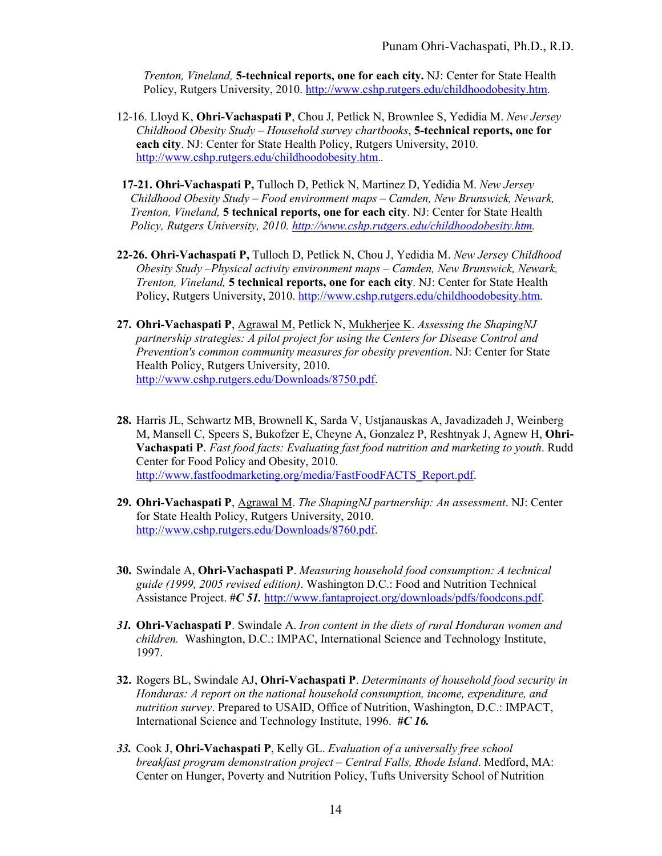*Trenton, Vineland,* **5-technical reports, one for each city.** NJ: Center for State Health Policy, Rutgers University, 2010. [http://www.cshp.rutgers.edu/childhoodobesity.htm.](http://www.cshp.rutgers.edu/childhoodobesity.htm)

- 12-16. Lloyd K, **Ohri-Vachaspati P**, Chou J, Petlick N, Brownlee S, Yedidia M. *New Jersey Childhood Obesity Study – Household survey chartbooks*, **5-technical reports, one for each city**. NJ: Center for State Health Policy, Rutgers University, 2010. [http://www.cshp.rutgers.edu/childhoodobesity.htm.](http://www.cshp.rutgers.edu/childhoodobesity.htm)*.*
- **17-21. Ohri-Vachaspati P,** Tulloch D, Petlick N, Martinez D, Yedidia M. *New Jersey Childhood Obesity Study – Food environment maps – Camden, New Brunswick, Newark, Trenton, Vineland,* **5 technical reports, one for each city**. NJ: Center for State Health *Policy, Rutgers University, 2010. [http://www.cshp.rutgers.edu/childhoodobesity.htm.](http://www.cshp.rutgers.edu/childhoodobesity.htm)*
- **22-26. Ohri-Vachaspati P,** Tulloch D, Petlick N, Chou J, Yedidia M. *New Jersey Childhood Obesity Study –Physical activity environment maps – Camden, New Brunswick, Newark, Trenton, Vineland,* **5 technical reports, one for each city**. NJ: Center for State Health Policy, Rutgers University, 2010. [http://www.cshp.rutgers.edu/childhoodobesity.htm.](http://www.cshp.rutgers.edu/childhoodobesity.htm)
- **27. Ohri-Vachaspati P**, Agrawal M, Petlick N, Mukherjee K. *Assessing the ShapingNJ partnership strategies: A pilot project for using the Centers for Disease Control and Prevention's common community measures for obesity prevention*. NJ: Center for State Health Policy, Rutgers University, 2010. [http://www.cshp.rutgers.edu/Downloads/8750.pdf.](http://www.cshp.rutgers.edu/Downloads/8750.pdf)
- **28.** Harris JL, Schwartz MB, Brownell K, Sarda V, Ustjanauskas A, Javadizadeh J, Weinberg M, Mansell C, Speers S, Bukofzer E, Cheyne A, Gonzalez P, Reshtnyak J, Agnew H, **Ohri-Vachaspati P**. *Fast food facts: Evaluating fast food nutrition and marketing to youth*. Rudd Center for Food Policy and Obesity, 2010. [http://www.fastfoodmarketing.org/media/FastFoodFACTS\\_Report.pdf.](http://www.fastfoodmarketing.org/media/FastFoodFACTS_Report.pdf)
- **29. Ohri-Vachaspati P**, Agrawal M. *The ShapingNJ partnership: An assessment*. NJ: Center for State Health Policy, Rutgers University, 2010. [http://www.cshp.rutgers.edu/Downloads/8760.pdf.](http://www.cshp.rutgers.edu/Downloads/8760.pdf)
- **30.** Swindale A, **Ohri-Vachaspati P**. *Measuring household food consumption: A technical guide (1999, 2005 revised edition)*. Washington D.C.: Food and Nutrition Technical Assistance Project. *#C 51.* [http://www.fantaproject.org/downloads/pdfs/foodcons.pdf.](http://www.fantaproject.org/downloads/pdfs/foodcons.pdf)
- *31.* **Ohri-Vachaspati P**. Swindale A. *Iron content in the diets of rural Honduran women and children.* Washington, D.C.: IMPAC, International Science and Technology Institute, 1997.
- **32.** Rogers BL, Swindale AJ, **Ohri-Vachaspati P**. *Determinants of household food security in Honduras: A report on the national household consumption, income, expenditure, and nutrition survey*. Prepared to USAID, Office of Nutrition, Washington, D.C.: IMPACT, International Science and Technology Institute, 1996. *#C 16.*
- *33.* Cook J, **Ohri-Vachaspati P**, Kelly GL. *Evaluation of a universally free school breakfast program demonstration project – Central Falls, Rhode Island*. Medford, MA: Center on Hunger, Poverty and Nutrition Policy, Tufts University School of Nutrition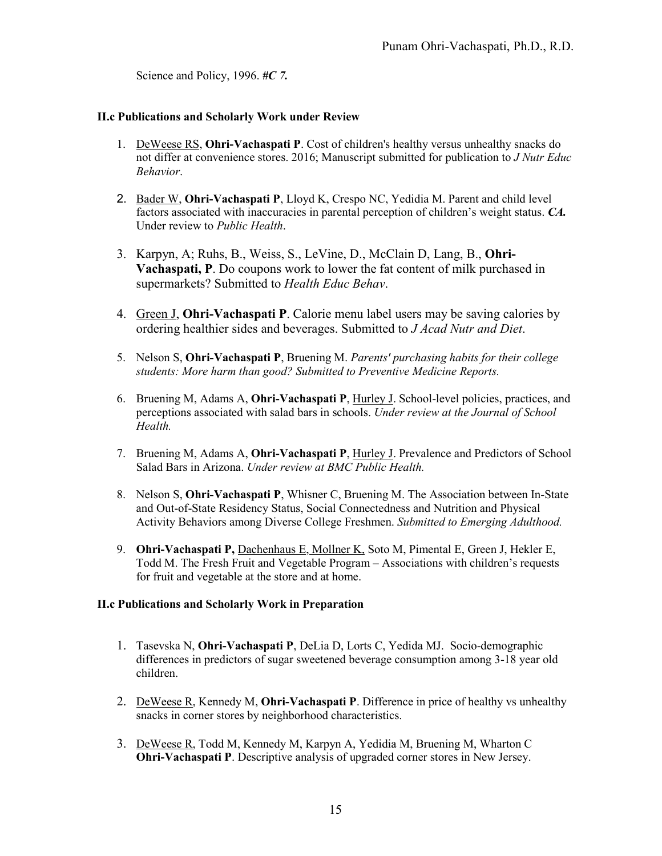Science and Policy, 1996. *#C 7.* 

## **II.c Publications and Scholarly Work under Review**

- 1. DeWeese RS, **Ohri-Vachaspati P**. Cost of children's healthy versus unhealthy snacks do not differ at convenience stores. 2016; Manuscript submitted for publication to *J Nutr Educ Behavior*.
- 2. Bader W, **Ohri-Vachaspati P**, Lloyd K, Crespo NC, Yedidia M. Parent and child level factors associated with inaccuracies in parental perception of children's weight status. *CA.* Under review to *Public Health*.
- 3. Karpyn, A; Ruhs, B., Weiss, S., LeVine, D., McClain D, Lang, B., **Ohri-Vachaspati, P**. Do coupons work to lower the fat content of milk purchased in supermarkets? Submitted to *Health Educ Behav*.
- 4. Green J, **Ohri-Vachaspati P**. Calorie menu label users may be saving calories by ordering healthier sides and beverages. Submitted to *J Acad Nutr and Diet*.
- 5. Nelson S, **Ohri-Vachaspati P**, Bruening M. *Parents' purchasing habits for their college students: More harm than good? Submitted to Preventive Medicine Reports.*
- 6. Bruening M, Adams A, **Ohri-Vachaspati P**, Hurley J. School-level policies, practices, and perceptions associated with salad bars in schools. *Under review at the Journal of School Health.*
- 7. Bruening M, Adams A, **Ohri-Vachaspati P**, Hurley J. Prevalence and Predictors of School Salad Bars in Arizona. *Under review at BMC Public Health.*
- 8. Nelson S, **Ohri-Vachaspati P**, Whisner C, Bruening M. The Association between In-State and Out-of-State Residency Status, Social Connectedness and Nutrition and Physical Activity Behaviors among Diverse College Freshmen. *Submitted to Emerging Adulthood.*
- 9. **Ohri-Vachaspati P,** Dachenhaus E, Mollner K, Soto M, Pimental E, Green J, Hekler E, Todd M. The Fresh Fruit and Vegetable Program – Associations with children's requests for fruit and vegetable at the store and at home.

#### **II.c Publications and Scholarly Work in Preparation**

- 1. Tasevska N, **Ohri-Vachaspati P**, DeLia D, Lorts C, Yedida MJ. Socio-demographic differences in predictors of sugar sweetened beverage consumption among 3-18 year old children.
- 2. DeWeese R, Kennedy M, **Ohri-Vachaspati P**. Difference in price of healthy vs unhealthy snacks in corner stores by neighborhood characteristics.
- 3. DeWeese R, Todd M, Kennedy M, Karpyn A, Yedidia M, Bruening M, Wharton C **Ohri-Vachaspati P**. Descriptive analysis of upgraded corner stores in New Jersey.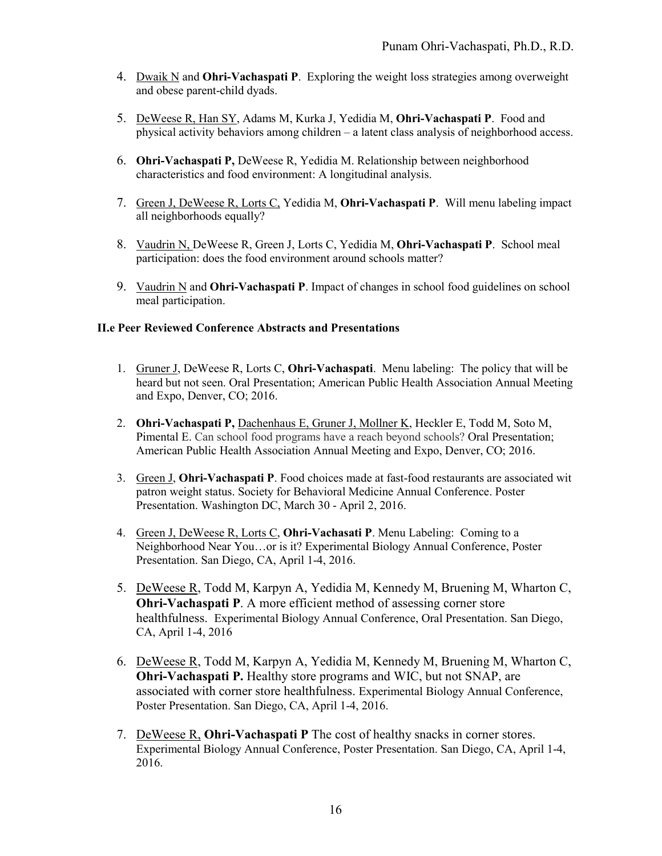- 4. Dwaik N and **Ohri-Vachaspati P**. Exploring the weight loss strategies among overweight and obese parent-child dyads.
- 5. DeWeese R, Han SY, Adams M, Kurka J, Yedidia M, **Ohri-Vachaspati P**. Food and physical activity behaviors among children – a latent class analysis of neighborhood access.
- 6. **Ohri-Vachaspati P,** DeWeese R, Yedidia M. Relationship between neighborhood characteristics and food environment: A longitudinal analysis.
- 7. Green J, DeWeese R, Lorts C, Yedidia M, **Ohri-Vachaspati P**. Will menu labeling impact all neighborhoods equally?
- 8. Vaudrin N, DeWeese R, Green J, Lorts C, Yedidia M, **Ohri-Vachaspati P**. School meal participation: does the food environment around schools matter?
- 9. Vaudrin N and **Ohri-Vachaspati P**. Impact of changes in school food guidelines on school meal participation.

### **II.e Peer Reviewed Conference Abstracts and Presentations**

- 1. Gruner J, DeWeese R, Lorts C, **Ohri-Vachaspati**. Menu labeling: The policy that will be heard but not seen. Oral Presentation; American Public Health Association Annual Meeting and Expo, Denver, CO; 2016.
- 2. **Ohri-Vachaspati P,** Dachenhaus E, Gruner J, Mollner K, Heckler E, Todd M, Soto M, Pimental E. Can school food programs have a reach beyond schools? Oral Presentation; American Public Health Association Annual Meeting and Expo, Denver, CO; 2016.
- 3. Green J, **Ohri-Vachaspati P**. Food choices made at fast-food restaurants are associated wit patron weight status. Society for Behavioral Medicine Annual Conference. Poster Presentation. Washington DC, March 30 - April 2, 2016.
- 4. Green J, DeWeese R, Lorts C, **Ohri-Vachasati P**. Menu Labeling: Coming to a Neighborhood Near You…or is it? Experimental Biology Annual Conference, Poster Presentation. San Diego, CA, April 1-4, 2016.
- 5. DeWeese R, Todd M, Karpyn A, Yedidia M, Kennedy M, Bruening M, Wharton C, **Ohri-Vachaspati P**. A more efficient method of assessing corner store healthfulness. Experimental Biology Annual Conference, Oral Presentation. San Diego, CA, April 1-4, 2016
- 6. DeWeese R, Todd M, Karpyn A, Yedidia M, Kennedy M, Bruening M, Wharton C, **Ohri-Vachaspati P.** Healthy store programs and WIC, but not SNAP, are associated with corner store healthfulness. Experimental Biology Annual Conference, Poster Presentation. San Diego, CA, April 1-4, 2016.
- 7. DeWeese R, **Ohri-Vachaspati P** The cost of healthy snacks in corner stores. Experimental Biology Annual Conference, Poster Presentation. San Diego, CA, April 1-4, 2016.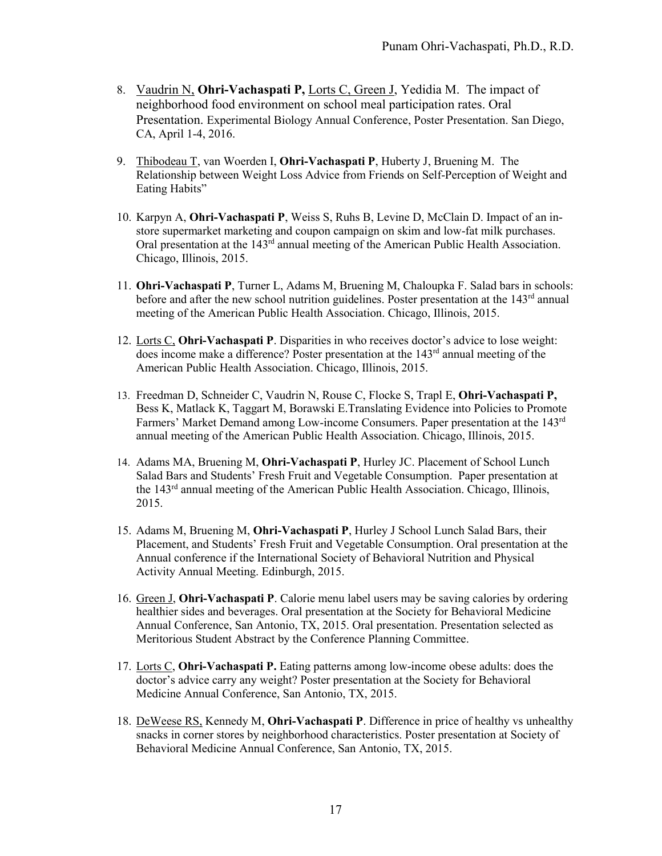- 8. Vaudrin N, **Ohri-Vachaspati P,** Lorts C, Green J, Yedidia M. The impact of neighborhood food environment on school meal participation rates. Oral Presentation. Experimental Biology Annual Conference, Poster Presentation. San Diego, CA, April 1-4, 2016.
- 9. Thibodeau T, van Woerden I, **Ohri-Vachaspati P**, Huberty J, Bruening M. The Relationship between Weight Loss Advice from Friends on Self-Perception of Weight and Eating Habits"
- 10. Karpyn A, **Ohri-Vachaspati P**, Weiss S, Ruhs B, Levine D, McClain D. Impact of an instore supermarket marketing and coupon campaign on skim and low-fat milk purchases. Oral presentation at the 143<sup>rd</sup> annual meeting of the American Public Health Association. Chicago, Illinois, 2015.
- 11. **Ohri-Vachaspati P**, Turner L, Adams M, Bruening M, Chaloupka F. Salad bars in schools: before and after the new school nutrition guidelines. Poster presentation at the 143<sup>rd</sup> annual meeting of the American Public Health Association. Chicago, Illinois, 2015.
- 12. Lorts C, **Ohri-Vachaspati P**. Disparities in who receives doctor's advice to lose weight: does income make a difference? Poster presentation at the  $143<sup>rd</sup>$  annual meeting of the American Public Health Association. Chicago, Illinois, 2015.
- 13. Freedman D, Schneider C, Vaudrin N, Rouse C, Flocke S, Trapl E, **Ohri-Vachaspati P,** Bess K, Matlack K, Taggart M, Borawski E.Translating Evidence into Policies to Promote Farmers' Market Demand among Low-income Consumers. Paper presentation at the 143<sup>rd</sup> annual meeting of the American Public Health Association. Chicago, Illinois, 2015.
- 14. Adams MA, Bruening M, **Ohri-Vachaspati P**, Hurley JC. Placement of School Lunch Salad Bars and Students' Fresh Fruit and Vegetable Consumption. Paper presentation at the 143rd annual meeting of the American Public Health Association. Chicago, Illinois, 2015.
- 15. Adams M, Bruening M, **Ohri-Vachaspati P**, Hurley J School Lunch Salad Bars, their Placement, and Students' Fresh Fruit and Vegetable Consumption. Oral presentation at the Annual conference if the International Society of Behavioral Nutrition and Physical Activity Annual Meeting. Edinburgh, 2015.
- 16. Green J, **Ohri-Vachaspati P**. Calorie menu label users may be saving calories by ordering healthier sides and beverages. Oral presentation at the Society for Behavioral Medicine Annual Conference, San Antonio, TX, 2015. Oral presentation. Presentation selected as Meritorious Student Abstract by the Conference Planning Committee.
- 17. Lorts C, **Ohri-Vachaspati P.** Eating patterns among low-income obese adults: does the doctor's advice carry any weight? Poster presentation at the Society for Behavioral Medicine Annual Conference, San Antonio, TX, 2015.
- 18. DeWeese RS, Kennedy M, **Ohri-Vachaspati P**. Difference in price of healthy vs unhealthy snacks in corner stores by neighborhood characteristics. Poster presentation at Society of Behavioral Medicine Annual Conference, San Antonio, TX, 2015.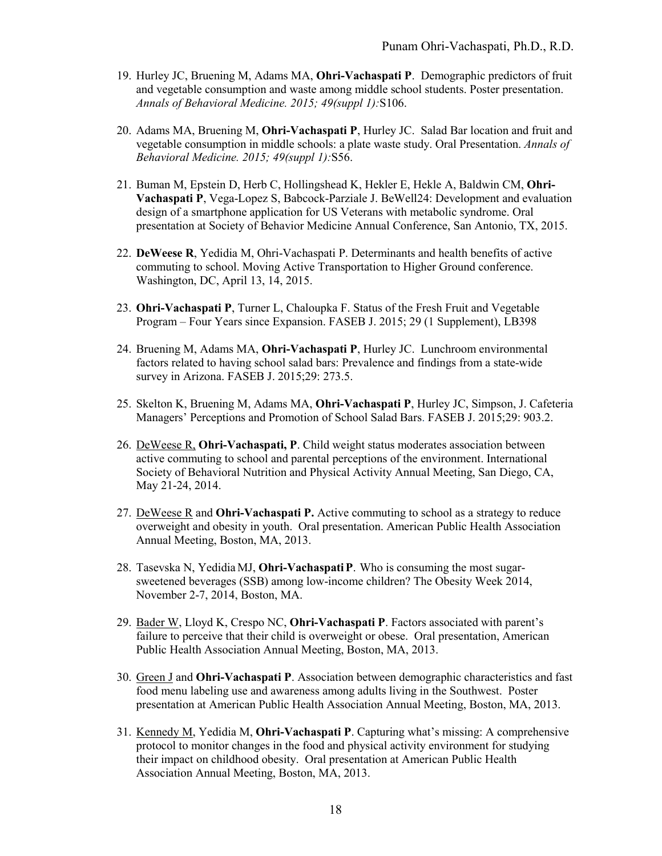- 19. Hurley JC, Bruening M, Adams MA, **Ohri-Vachaspati P**. Demographic predictors of fruit and vegetable consumption and waste among middle school students. Poster presentation. *Annals of Behavioral Medicine. 2015; 49(suppl 1):*S106.
- 20. Adams MA, Bruening M, **Ohri-Vachaspati P**, Hurley JC. Salad Bar location and fruit and vegetable consumption in middle schools: a plate waste study. Oral Presentation. *Annals of Behavioral Medicine. 2015; 49(suppl 1):*S56.
- 21. Buman M, Epstein D, Herb C, Hollingshead K, Hekler E, Hekle A, Baldwin CM, **Ohri-Vachaspati P**, Vega-Lopez S, Babcock-Parziale J. BeWell24: Development and evaluation design of a smartphone application for US Veterans with metabolic syndrome. Oral presentation at Society of Behavior Medicine Annual Conference, San Antonio, TX, 2015.
- 22. **DeWeese R**, Yedidia M, Ohri-Vachaspati P. Determinants and health benefits of active commuting to school. Moving Active Transportation to Higher Ground conference. Washington, DC, April 13, 14, 2015.
- 23. **Ohri-Vachaspati P**, Turner L, Chaloupka F. Status of the Fresh Fruit and Vegetable Program – Four Years since Expansion. FASEB J. 2015; 29 (1 Supplement), LB398
- 24. Bruening M, Adams MA, **Ohri-Vachaspati P**, Hurley JC. Lunchroom environmental factors related to having school salad bars: Prevalence and findings from a state-wide survey in Arizona. FASEB J. 2015;29: 273.5.
- 25. Skelton K, Bruening M, Adams MA, **Ohri-Vachaspati P**, Hurley JC, Simpson, J. Cafeteria Managers' Perceptions and Promotion of School Salad Bars. FASEB J. 2015;29: 903.2.
- 26. DeWeese R, **Ohri-Vachaspati, P**. Child weight status moderates association between active commuting to school and parental perceptions of the environment. International Society of Behavioral Nutrition and Physical Activity Annual Meeting, San Diego, CA, May 21-24, 2014.
- 27. DeWeese R and **Ohri-Vachaspati P.** Active commuting to school as a strategy to reduce overweight and obesity in youth. Oral presentation. American Public Health Association Annual Meeting, Boston, MA, 2013.
- 28. Tasevska N, Yedidia MJ, **Ohri-VachaspatiP**. Who is consuming the most sugarsweetened beverages (SSB) among low-income children? The Obesity Week 2014, November 2-7, 2014, Boston, MA.
- 29. Bader W, Lloyd K, Crespo NC, **Ohri-Vachaspati P**. Factors associated with parent's failure to perceive that their child is overweight or obese. Oral presentation, American Public Health Association Annual Meeting, Boston, MA, 2013.
- 30. Green J and **Ohri-Vachaspati P**. Association between demographic characteristics and fast food menu labeling use and awareness among adults living in the Southwest. Poster presentation at American Public Health Association Annual Meeting, Boston, MA, 2013.
- 31. Kennedy M, Yedidia M, **Ohri-Vachaspati P**. Capturing what's missing: A comprehensive protocol to monitor changes in the food and physical activity environment for studying their impact on childhood obesity. Oral presentation at American Public Health Association Annual Meeting, Boston, MA, 2013.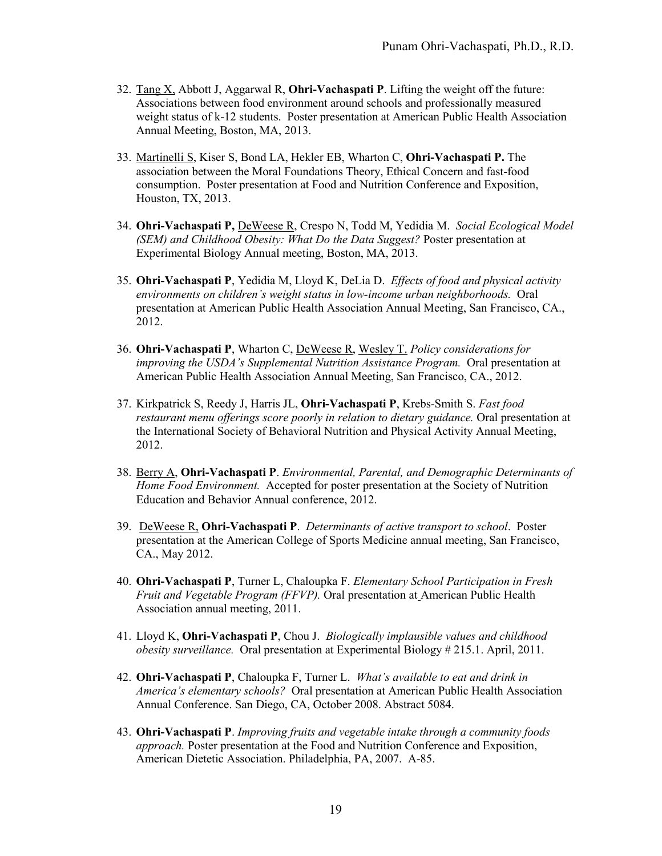- 32. Tang X, Abbott J, Aggarwal R, **Ohri-Vachaspati P**. Lifting the weight off the future: Associations between food environment around schools and professionally measured weight status of k-12 students. Poster presentation at American Public Health Association Annual Meeting, Boston, MA, 2013.
- 33. Martinelli S, Kiser S, Bond LA, Hekler EB, Wharton C, **Ohri-Vachaspati P.** The association between the Moral Foundations Theory, Ethical Concern and fast-food consumption. Poster presentation at Food and Nutrition Conference and Exposition, Houston, TX, 2013.
- 34. **Ohri-Vachaspati P,** DeWeese R, Crespo N, Todd M, Yedidia M. *Social Ecological Model (SEM) and Childhood Obesity: What Do the Data Suggest?* Poster presentation at Experimental Biology Annual meeting, Boston, MA, 2013.
- 35. **Ohri-Vachaspati P**, Yedidia M, Lloyd K, DeLia D. *Effects of food and physical activity environments on children's weight status in low-income urban neighborhoods.* Oral presentation at American Public Health Association Annual Meeting, San Francisco, CA., 2012.
- 36. **Ohri-Vachaspati P**, Wharton C, DeWeese R, Wesley T. *Policy considerations for improving the USDA's Supplemental Nutrition Assistance Program.* Oral presentation at American Public Health Association Annual Meeting, San Francisco, CA., 2012.
- 37. Kirkpatrick S, Reedy J, Harris JL, **Ohri-Vachaspati P**, Krebs-Smith S. *Fast food restaurant menu offerings score poorly in relation to dietary guidance.* Oral presentation at the International Society of Behavioral Nutrition and Physical Activity Annual Meeting, 2012.
- 38. Berry A, **Ohri-Vachaspati P**. *Environmental, Parental, and Demographic Determinants of Home Food Environment.* Accepted for poster presentation at the Society of Nutrition Education and Behavior Annual conference, 2012.
- 39. DeWeese R, **Ohri-Vachaspati P**. *Determinants of active transport to school*. Poster presentation at the American College of Sports Medicine annual meeting, San Francisco, CA., May 2012.
- 40. **Ohri-Vachaspati P**, Turner L, Chaloupka F. *Elementary School Participation in Fresh Fruit and Vegetable Program (FFVP).* Oral presentation at American Public Health Association annual meeting, 2011.
- 41. Lloyd K, **Ohri-Vachaspati P**, Chou J. *Biologically implausible values and childhood obesity surveillance.* Oral presentation at Experimental Biology # 215.1. April, 2011.
- 42. **Ohri-Vachaspati P**, Chaloupka F, Turner L. *What's available to eat and drink in America's elementary schools?* Oral presentation at American Public Health Association Annual Conference. San Diego, CA, October 2008. Abstract 5084.
- 43. **Ohri-Vachaspati P**. *Improving fruits and vegetable intake through a community foods approach.* Poster presentation at the Food and Nutrition Conference and Exposition, American Dietetic Association. Philadelphia, PA, 2007. A-85.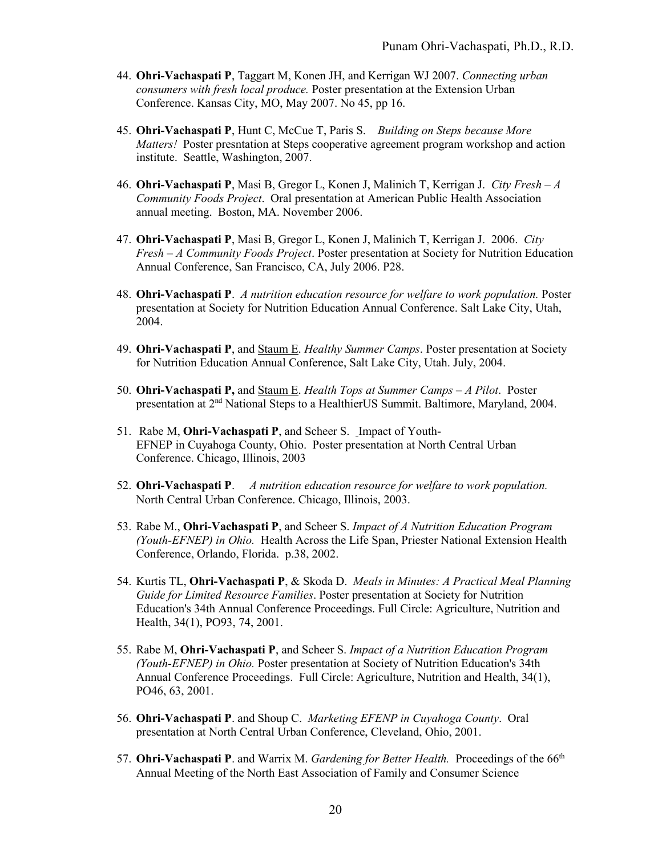- 44. **Ohri-Vachaspati P**, Taggart M, Konen JH, and Kerrigan WJ 2007. *Connecting urban consumers with fresh local produce.* Poster presentation at the Extension Urban Conference. Kansas City, MO, May 2007. No 45, pp 16.
- 45. **Ohri-Vachaspati P**, Hunt C, McCue T, Paris S. *Building on Steps because More Matters!* Poster presntation at Steps cooperative agreement program workshop and action institute. Seattle, Washington, 2007.
- 46. **Ohri-Vachaspati P**, Masi B, Gregor L, Konen J, Malinich T, Kerrigan J. *City Fresh – A Community Foods Project*. Oral presentation at American Public Health Association annual meeting. Boston, MA. November 2006.
- 47. **Ohri-Vachaspati P**, Masi B, Gregor L, Konen J, Malinich T, Kerrigan J. 2006. *City Fresh – A Community Foods Project*. Poster presentation at Society for Nutrition Education Annual Conference, San Francisco, CA, July 2006. P28.
- 48. **Ohri-Vachaspati P**. *A nutrition education resource for welfare to work population.* Poster presentation at Society for Nutrition Education Annual Conference. Salt Lake City, Utah, 2004.
- 49. **Ohri-Vachaspati P**, and Staum E. *Healthy Summer Camps*. Poster presentation at Society for Nutrition Education Annual Conference, Salt Lake City, Utah. July, 2004.
- 50. **Ohri-Vachaspati P,** and Staum E. *Health Tops at Summer Camps – A Pilot*. Poster presentation at 2nd National Steps to a HealthierUS Summit. Baltimore, Maryland, 2004.
- 51. Rabe M, **Ohri-Vachaspati P**, and Scheer S. Impact of Youth-EFNEP in Cuyahoga County, Ohio. Poster presentation at North Central Urban Conference. Chicago, Illinois, 2003
- 52. **Ohri-Vachaspati P**. *A nutrition education resource for welfare to work population.*  North Central Urban Conference. Chicago, Illinois, 2003.
- 53. Rabe M., **Ohri-Vachaspati P**, and Scheer S. *Impact of A Nutrition Education Program (Youth-EFNEP) in Ohio.* Health Across the Life Span, Priester National Extension Health Conference, Orlando, Florida. p.38, 2002.
- 54. Kurtis TL, **Ohri-Vachaspati P**, & Skoda D. *Meals in Minutes: A Practical Meal Planning Guide for Limited Resource Families*. Poster presentation at Society for Nutrition Education's 34th Annual Conference Proceedings. Full Circle: Agriculture, Nutrition and Health, 34(1), PO93, 74, 2001.
- 55. Rabe M, **Ohri-Vachaspati P**, and Scheer S. *Impact of a Nutrition Education Program (Youth-EFNEP) in Ohio.* Poster presentation at Society of Nutrition Education's 34th Annual Conference Proceedings. Full Circle: Agriculture, Nutrition and Health, 34(1), PO46, 63, 2001.
- 56. **Ohri-Vachaspati P**. and Shoup C. *Marketing EFENP in Cuyahoga County*. Oral presentation at North Central Urban Conference, Cleveland, Ohio, 2001.
- 57. **Ohri-Vachaspati P**. and Warrix M. *Gardening for Better Health.* Proceedings of the 66th Annual Meeting of the North East Association of Family and Consumer Science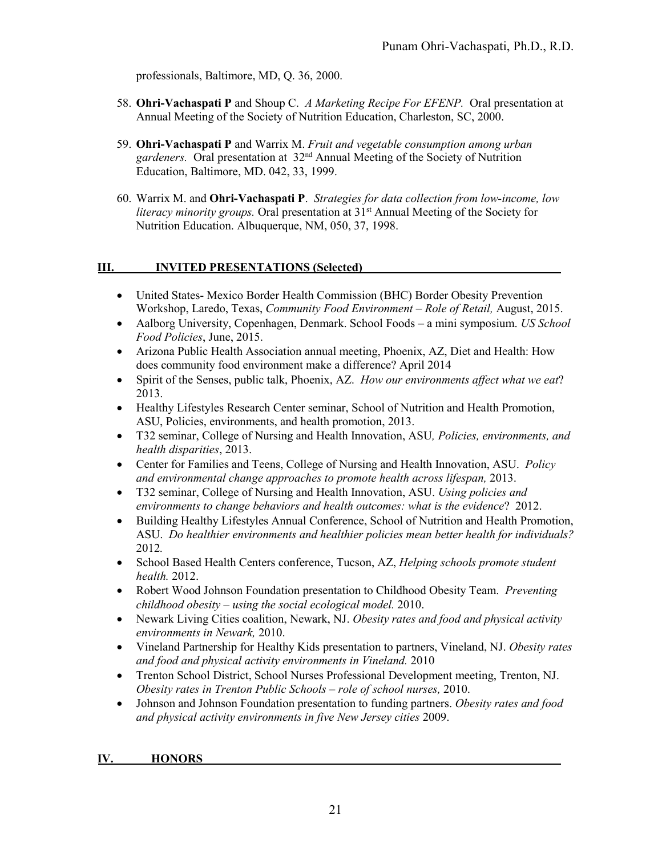professionals, Baltimore, MD, Q. 36, 2000.

- 58. **Ohri-Vachaspati P** and Shoup C. *A Marketing Recipe For EFENP.* Oral presentation at Annual Meeting of the Society of Nutrition Education, Charleston, SC, 2000.
- 59. **Ohri-Vachaspati P** and Warrix M. *Fruit and vegetable consumption among urban gardeners.* Oral presentation at 32nd Annual Meeting of the Society of Nutrition Education, Baltimore, MD. 042, 33, 1999.
- 60. Warrix M. and **Ohri-Vachaspati P**. *Strategies for data collection from low-income, low literacy minority groups.* Oral presentation at 31<sup>st</sup> Annual Meeting of the Society for Nutrition Education. Albuquerque, NM, 050, 37, 1998.

## **III. INVITED PRESENTATIONS (Selected)**

- United States- Mexico Border Health Commission (BHC) Border Obesity Prevention Workshop, Laredo, Texas, *Community Food Environment – Role of Retail,* August, 2015.
- Aalborg University, Copenhagen, Denmark. School Foods a mini symposium. *US School Food Policies*, June, 2015.
- Arizona Public Health Association annual meeting, Phoenix, AZ, Diet and Health: How does community food environment make a difference? April 2014
- Spirit of the Senses, public talk, Phoenix, AZ. *How our environments affect what we eat*? 2013.
- Healthy Lifestyles Research Center seminar, School of Nutrition and Health Promotion, ASU, Policies, environments, and health promotion, 2013.
- T32 seminar, College of Nursing and Health Innovation, ASU*, Policies, environments, and health disparities*, 2013.
- Center for Families and Teens, College of Nursing and Health Innovation, ASU. *Policy and environmental change approaches to promote health across lifespan,* 2013.
- T32 seminar, College of Nursing and Health Innovation, ASU. *Using policies and environments to change behaviors and health outcomes: what is the evidence*? 2012.
- Building Healthy Lifestyles Annual Conference, School of Nutrition and Health Promotion, ASU. *Do healthier environments and healthier policies mean better health for individuals?* 2012*.*
- School Based Health Centers conference, Tucson, AZ, *Helping schools promote student health.* 2012.
- Robert Wood Johnson Foundation presentation to Childhood Obesity Team. *Preventing childhood obesity – using the social ecological model.* 2010.
- Newark Living Cities coalition, Newark, NJ. *Obesity rates and food and physical activity environments in Newark,* 2010.
- Vineland Partnership for Healthy Kids presentation to partners, Vineland, NJ. *Obesity rates and food and physical activity environments in Vineland.* 2010
- Trenton School District, School Nurses Professional Development meeting, Trenton, NJ. *Obesity rates in Trenton Public Schools – role of school nurses,* 2010.
- Johnson and Johnson Foundation presentation to funding partners. *Obesity rates and food and physical activity environments in five New Jersey cities* 2009.

#### **IV. HONORS**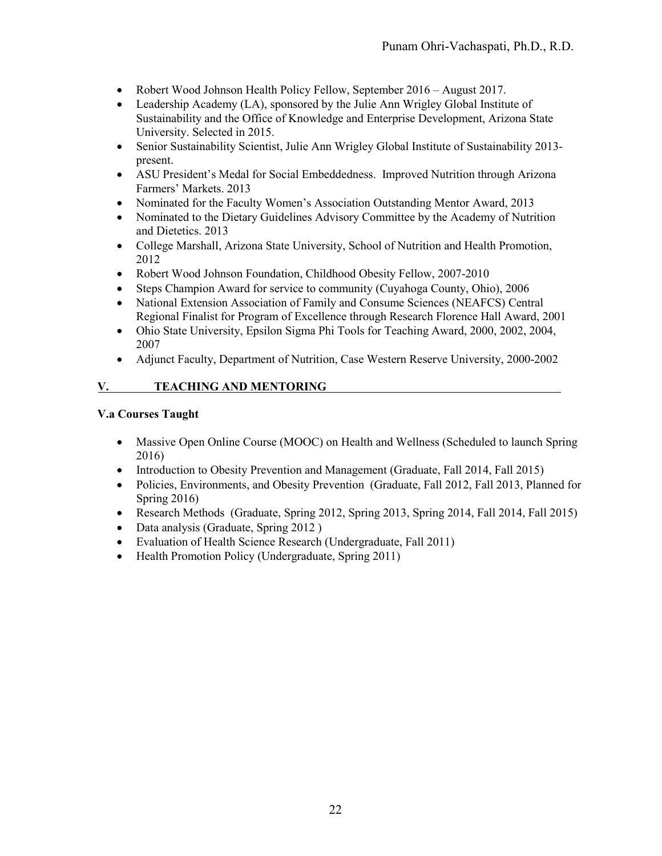- Robert Wood Johnson Health Policy Fellow, September 2016 August 2017.
- Leadership Academy (LA), sponsored by the Julie Ann Wrigley Global Institute of Sustainability and the Office of Knowledge and Enterprise Development, Arizona State University. Selected in 2015.
- Senior Sustainability Scientist, Julie Ann Wrigley Global Institute of Sustainability 2013 present.
- ASU President's Medal for Social Embeddedness. Improved Nutrition through Arizona Farmers' Markets. 2013
- Nominated for the Faculty Women's Association Outstanding Mentor Award, 2013
- Nominated to the Dietary Guidelines Advisory Committee by the Academy of Nutrition and Dietetics. 2013
- College Marshall, Arizona State University, School of Nutrition and Health Promotion, 2012
- Robert Wood Johnson Foundation, Childhood Obesity Fellow, 2007-2010
- Steps Champion Award for service to community (Cuyahoga County, Ohio), 2006
- National Extension Association of Family and Consume Sciences (NEAFCS) Central Regional Finalist for Program of Excellence through Research Florence Hall Award, 2001
- Ohio State University, Epsilon Sigma Phi Tools for Teaching Award, 2000, 2002, 2004, 2007
- Adjunct Faculty, Department of Nutrition, Case Western Reserve University, 2000-2002

## **V. TEACHING AND MENTORING**

### **V.a Courses Taught**

- Massive Open Online Course (MOOC) on Health and Wellness (Scheduled to launch Spring 2016)
- Introduction to Obesity Prevention and Management (Graduate, Fall 2014, Fall 2015)
- Policies, Environments, and Obesity Prevention (Graduate, Fall 2012, Fall 2013, Planned for Spring 2016)
- Research Methods (Graduate, Spring 2012, Spring 2013, Spring 2014, Fall 2014, Fall 2015)
- Data analysis (Graduate, Spring 2012)
- Evaluation of Health Science Research (Undergraduate, Fall 2011)
- Health Promotion Policy (Undergraduate, Spring 2011)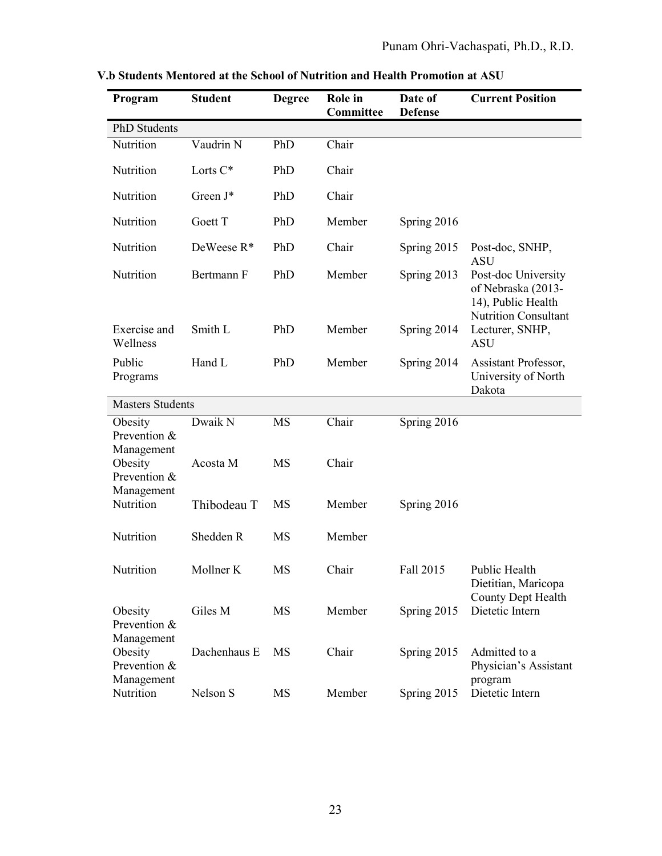| Program                                          | <b>Student</b>      | <b>Degree</b>          | Role in<br>Committee | Date of<br><b>Defense</b> | <b>Current Position</b>                                                                        |
|--------------------------------------------------|---------------------|------------------------|----------------------|---------------------------|------------------------------------------------------------------------------------------------|
| <b>PhD</b> Students                              |                     |                        |                      |                           |                                                                                                |
| Nutrition                                        | Vaudrin N           | PhD                    | Chair                |                           |                                                                                                |
| Nutrition                                        | Lorts C*            | PhD                    | Chair                |                           |                                                                                                |
| Nutrition                                        | Green J*            | PhD                    | Chair                |                           |                                                                                                |
| Nutrition                                        | Goett T             | PhD                    | Member               | Spring 2016               |                                                                                                |
| Nutrition                                        | DeWeese $R^*$       | PhD                    | Chair                | Spring 2015               | Post-doc, SNHP,<br><b>ASU</b>                                                                  |
| Nutrition                                        | Bertmann F          | PhD                    | Member               | Spring 2013               | Post-doc University<br>of Nebraska (2013-<br>14), Public Health<br><b>Nutrition Consultant</b> |
| Exercise and<br>Wellness                         | Smith L             | PhD                    | Member               | Spring 2014               | Lecturer, SNHP,<br><b>ASU</b>                                                                  |
| Public<br>Programs                               | Hand L              | PhD                    | Member               | Spring 2014               | Assistant Professor,<br>University of North<br>Dakota                                          |
| <b>Masters Students</b>                          |                     |                        |                      |                           |                                                                                                |
| Obesity<br>Prevention &<br>Management<br>Obesity | Dwaik N<br>Acosta M | <b>MS</b><br><b>MS</b> | Chair<br>Chair       | Spring 2016               |                                                                                                |
| Prevention &<br>Management                       |                     |                        |                      |                           |                                                                                                |
| Nutrition                                        | Thibodeau T         | <b>MS</b>              | Member               | Spring 2016               |                                                                                                |
| Nutrition                                        | Shedden R           | <b>MS</b>              | Member               |                           |                                                                                                |
| Nutrition                                        | Mollner K           | MS                     | Chair                | Fall 2015                 | Public Health<br>Dietitian, Maricopa                                                           |
| Obesity<br>Prevention &                          | Giles M             | MS                     | Member               | Spring 2015               | County Dept Health<br>Dietetic Intern                                                          |
| Management<br>Obesity<br>Prevention &            | Dachenhaus E        | MS                     | Chair                | Spring 2015               | Admitted to a<br>Physician's Assistant                                                         |
| Management<br>Nutrition                          | Nelson S            | MS                     | Member               | Spring 2015               | program<br>Dietetic Intern                                                                     |

**V.b Students Mentored at the School of Nutrition and Health Promotion at ASU**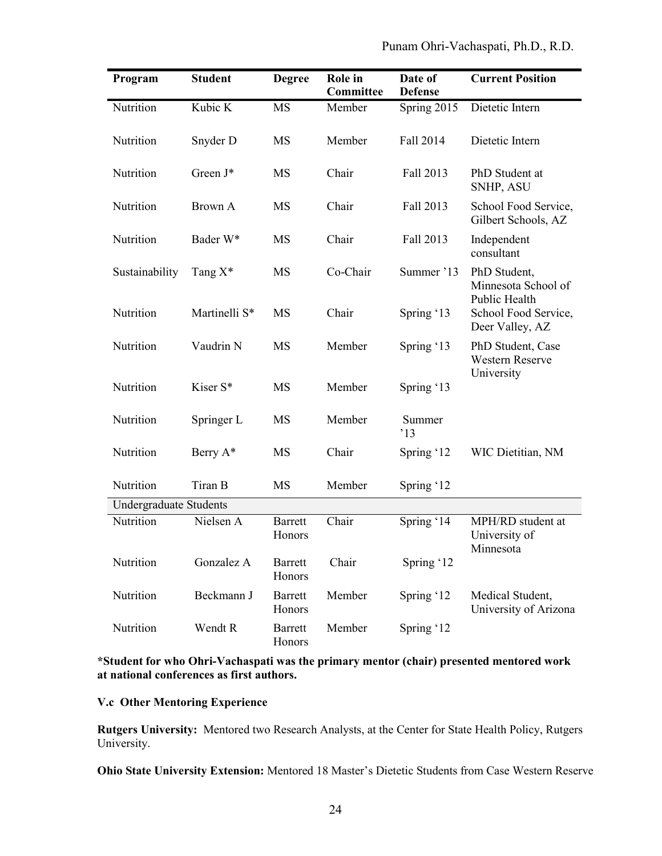| Program                       | <b>Student</b>       | <b>Degree</b>            | Role in<br><b>Committee</b> | Date of<br><b>Defense</b> | <b>Current Position</b>                                  |  |
|-------------------------------|----------------------|--------------------------|-----------------------------|---------------------------|----------------------------------------------------------|--|
| Nutrition                     | Kubic K              | MS                       | Member                      | Spring 2015               | Dietetic Intern                                          |  |
| Nutrition                     | Snyder D             | MS                       | Member                      | Fall 2014                 | Dietetic Intern                                          |  |
| Nutrition                     | Green J*             | MS                       | Chair                       | Fall 2013                 | PhD Student at<br>SNHP, ASU                              |  |
| Nutrition                     | Brown A              | MS                       | Chair                       | Fall 2013                 | School Food Service,<br>Gilbert Schools, AZ              |  |
| Nutrition                     | Bader W*             | MS                       | Chair                       | Fall 2013                 | Independent<br>consultant                                |  |
| Sustainability                | Tang $X^*$           | MS                       | Co-Chair                    | Summer '13                | PhD Student,<br>Minnesota School of                      |  |
| Nutrition                     | Martinelli S*        | MS                       | Chair                       | Spring '13                | Public Health<br>School Food Service,<br>Deer Valley, AZ |  |
| Nutrition                     | Vaudrin N            | MS                       | Member                      | Spring '13                | PhD Student, Case<br><b>Western Reserve</b>              |  |
| Nutrition                     | Kiser <sub>S</sub> * | MS                       | Member                      | Spring '13                | University                                               |  |
| Nutrition                     | Springer L           | MS                       | Member                      | Summer<br>13              |                                                          |  |
| Nutrition                     | Berry A*             | MS                       | Chair                       | Spring '12                | WIC Dietitian, NM                                        |  |
| Nutrition                     | Tiran B              | MS                       | Member                      | Spring '12                |                                                          |  |
| <b>Undergraduate Students</b> |                      |                          |                             |                           |                                                          |  |
| Nutrition                     | Nielsen A            | <b>Barrett</b><br>Honors | Chair                       | Spring '14                | MPH/RD student at<br>University of<br>Minnesota          |  |
| Nutrition                     | Gonzalez A           | <b>Barrett</b><br>Honors | Chair                       | Spring '12                |                                                          |  |
| Nutrition                     | Beckmann J           | <b>Barrett</b><br>Honors | Member                      | Spring '12                | Medical Student,<br>University of Arizona                |  |
| Nutrition                     | Wendt R              | <b>Barrett</b><br>Honors | Member                      | Spring '12                |                                                          |  |

## **\*Student for who Ohri-Vachaspati was the primary mentor (chair) presented mentored work at national conferences as first authors.**

## **V.c Other Mentoring Experience**

**Rutgers University:** Mentored two Research Analysts, at the Center for State Health Policy, Rutgers University.

**Ohio State University Extension:** Mentored 18 Master's Dietetic Students from Case Western Reserve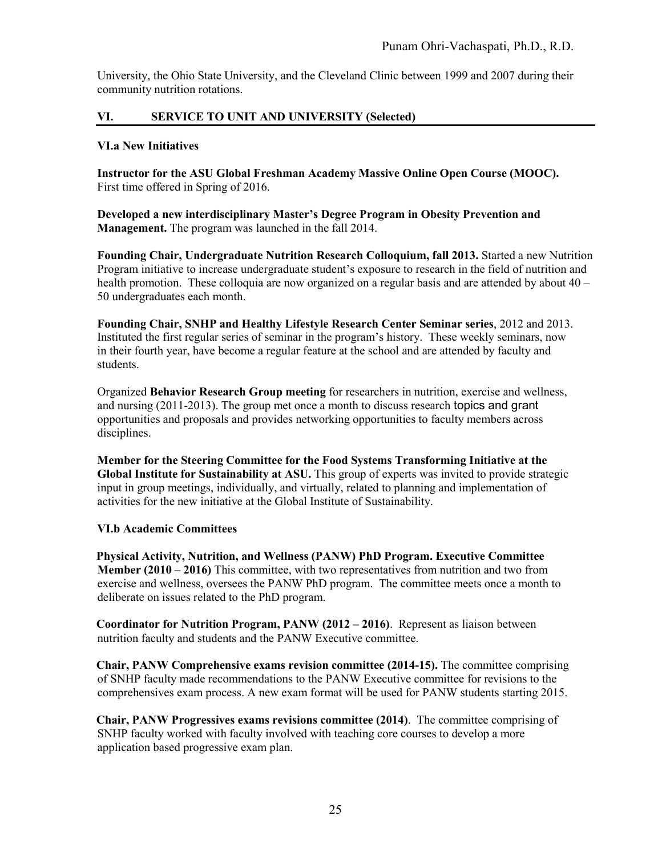University, the Ohio State University, and the Cleveland Clinic between 1999 and 2007 during their community nutrition rotations.

## **VI. SERVICE TO UNIT AND UNIVERSITY (Selected)**

### **VI.a New Initiatives**

**Instructor for the ASU Global Freshman Academy Massive Online Open Course (MOOC).**  First time offered in Spring of 2016.

**Developed a new interdisciplinary Master's Degree Program in Obesity Prevention and Management.** The program was launched in the fall 2014.

**Founding Chair, Undergraduate Nutrition Research Colloquium, fall 2013.** Started a new Nutrition Program initiative to increase undergraduate student's exposure to research in the field of nutrition and health promotion. These colloquia are now organized on a regular basis and are attended by about 40 – 50 undergraduates each month.

**Founding Chair, SNHP and Healthy Lifestyle Research Center Seminar series**, 2012 and 2013. Instituted the first regular series of seminar in the program's history. These weekly seminars, now in their fourth year, have become a regular feature at the school and are attended by faculty and students.

Organized **Behavior Research Group meeting** for researchers in nutrition, exercise and wellness, and nursing (2011-2013). The group met once a month to discuss research topics and grant opportunities and proposals and provides networking opportunities to faculty members across disciplines.

**Member for the Steering Committee for the Food Systems Transforming Initiative at the Global Institute for Sustainability at ASU.** This group of experts was invited to provide strategic input in group meetings, individually, and virtually, related to planning and implementation of activities for the new initiative at the Global Institute of Sustainability.

## **VI.b Academic Committees**

**Physical Activity, Nutrition, and Wellness (PANW) PhD Program. Executive Committee Member (2010 – 2016)** This committee, with two representatives from nutrition and two from exercise and wellness, oversees the PANW PhD program. The committee meets once a month to deliberate on issues related to the PhD program.

**Coordinator for Nutrition Program, PANW (2012 – 2016)**. Represent as liaison between nutrition faculty and students and the PANW Executive committee.

**Chair, PANW Comprehensive exams revision committee (2014-15).** The committee comprising of SNHP faculty made recommendations to the PANW Executive committee for revisions to the comprehensives exam process. A new exam format will be used for PANW students starting 2015.

**Chair, PANW Progressives exams revisions committee (2014)**. The committee comprising of SNHP faculty worked with faculty involved with teaching core courses to develop a more application based progressive exam plan.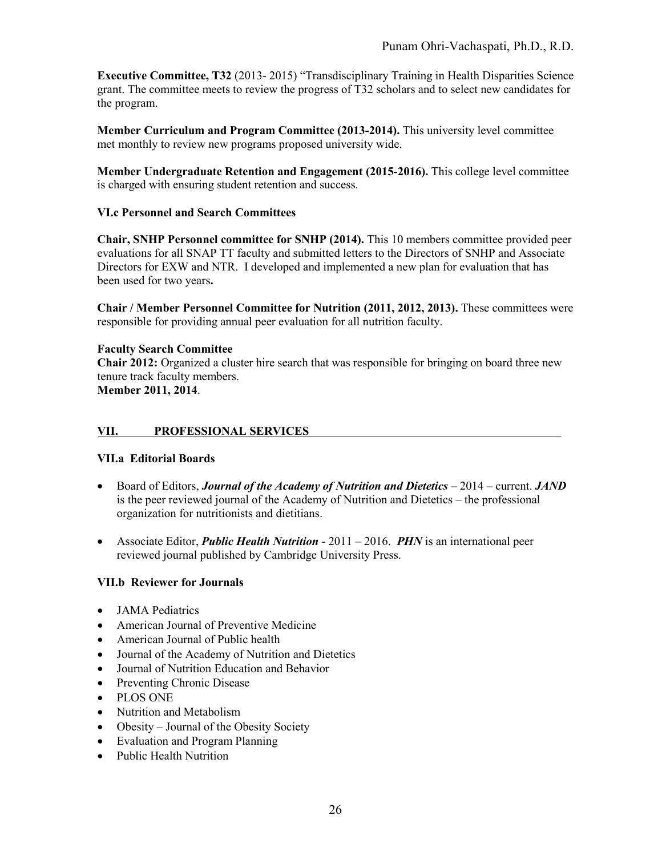**Executive Committee, T32** (2013- 2015) "Transdisciplinary Training in Health Disparities Science grant. The committee meets to review the progress of T32 scholars and to select new candidates for the program.

**Member Curriculum and Program Committee (2013-2014).** This university level committee met monthly to review new programs proposed university wide.

**Member Undergraduate Retention and Engagement (2015-2016).** This college level committee is charged with ensuring student retention and success.

## **VI.c Personnel and Search Committees**

**Chair, SNHP Personnel committee for SNHP (2014).** This 10 members committee provided peer evaluations for all SNAP TT faculty and submitted letters to the Directors of SNHP and Associate Directors for EXW and NTR. I developed and implemented a new plan for evaluation that has been used for two years**.** 

**Chair / Member Personnel Committee for Nutrition (2011, 2012, 2013).** These committees were responsible for providing annual peer evaluation for all nutrition faculty.

### **Faculty Search Committee**

**Chair 2012:** Organized a cluster hire search that was responsible for bringing on board three new tenure track faculty members.

**Member 2011, 2014**.

## **VII. PROFESSIONAL SERVICES**

#### **VII.a Editorial Boards**

- Board of Editors, *Journal of the Academy of Nutrition and Dietetics* 2014 current. *JAND* is the peer reviewed journal of the Academy of Nutrition and Dietetics – the professional organization for nutritionists and dietitians.
- Associate Editor, *Public Health Nutrition* 2011 2016. *PHN* is an international peer reviewed journal published by Cambridge University Press.

## **VII.b Reviewer for Journals**

- JAMA Pediatrics
- American Journal of Preventive Medicine
- American Journal of Public health
- Journal of the Academy of Nutrition and Dietetics
- Journal of Nutrition Education and Behavior
- Preventing Chronic Disease
- PLOS ONE
- Nutrition and Metabolism
- Obesity Journal of the Obesity Society
- Evaluation and Program Planning
- Public Health Nutrition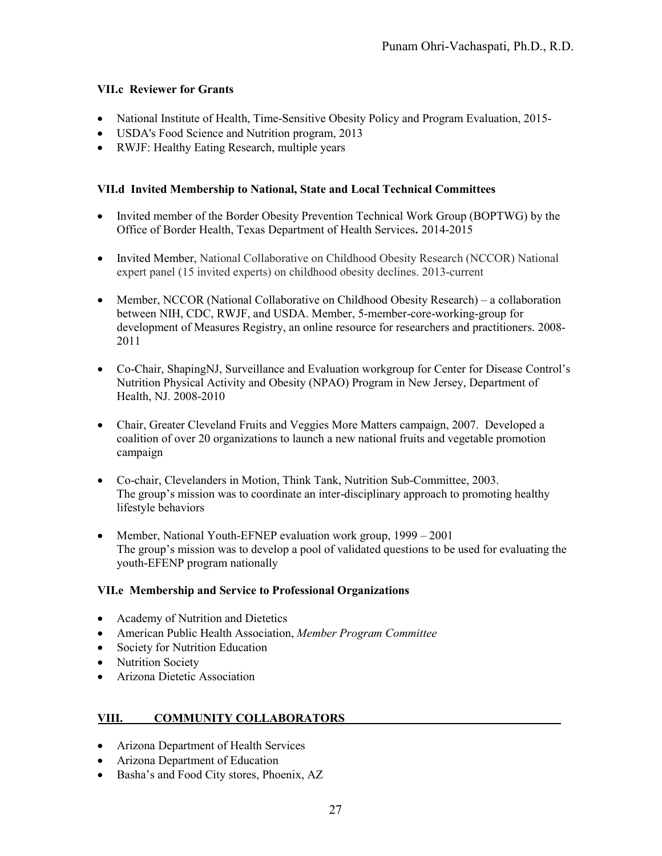## **VII.c Reviewer for Grants**

- National Institute of Health, Time-Sensitive Obesity Policy and Program Evaluation, 2015-
- USDA's Food Science and Nutrition program, 2013
- RWJF: Healthy Eating Research, multiple years

## **VII.d Invited Membership to National, State and Local Technical Committees**

- Invited member of the Border Obesity Prevention Technical Work Group (BOPTWG) by the Office of Border Health, Texas Department of Health Services**.** 2014-2015
- Invited Member, National Collaborative on Childhood Obesity Research (NCCOR) National expert panel (15 invited experts) on childhood obesity declines. 2013-current
- Member, NCCOR (National Collaborative on Childhood Obesity Research) a collaboration between NIH, CDC, RWJF, and USDA. Member, 5-member-core-working-group for development of Measures Registry, an online resource for researchers and practitioners. 2008- 2011
- Co-Chair, ShapingNJ, Surveillance and Evaluation workgroup for Center for Disease Control's Nutrition Physical Activity and Obesity (NPAO) Program in New Jersey, Department of Health, NJ. 2008-2010
- Chair, Greater Cleveland Fruits and Veggies More Matters campaign, 2007. Developed a coalition of over 20 organizations to launch a new national fruits and vegetable promotion campaign
- Co-chair, Clevelanders in Motion, Think Tank, Nutrition Sub-Committee, 2003. The group's mission was to coordinate an inter-disciplinary approach to promoting healthy lifestyle behaviors
- Member, National Youth-EFNEP evaluation work group, 1999 2001 The group's mission was to develop a pool of validated questions to be used for evaluating the youth-EFENP program nationally

## **VII.e Membership and Service to Professional Organizations**

- Academy of Nutrition and Dietetics
- American Public Health Association, *Member Program Committee*
- Society for Nutrition Education
- Nutrition Society
- Arizona Dietetic Association

## **VIII. COMMUNITY COLLABORATORS**

- Arizona Department of Health Services
- Arizona Department of Education
- Basha's and Food City stores, Phoenix, AZ